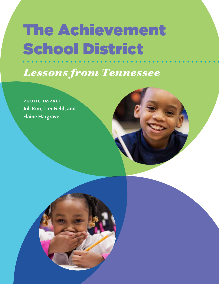# The Achievement School District

*Lessons from Tennessee*

**public impact Juli Kim, Tim Field, and Elaine Hargrave**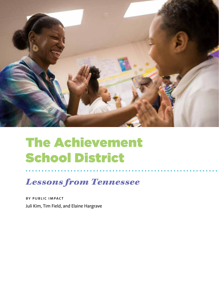

## The Achievement School District

## *Lessons from Tennessee*

by public impact Juli Kim, Tim Field, and Elaine Hargrave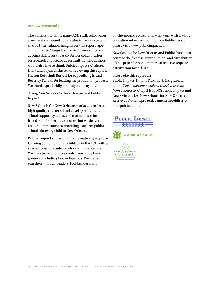#### **Acknowledgements**

The authors thank the many ASD staff, school operators, and community advocates in Tennessee who shared their valuable insights for this report. Special thanks to Margo Roen, chief of new schools and accountability for the ASD, for her collaboration on research and feedback on drafting. The authors would also like to thank Public Impact's Christen Holly and Bryan C. Hassel for reviewing this report, Sharon Kebschull Barrett for copyediting it, and Beverley Tyndall for leading the production process. We thank April Leidig for design and layout.

© 2015 New Schools for New Orleans and Public Impact

**New Schools for New Orleans** works to accelerate high-quality charter school development, build school support systems, and maintain a reformfriendly environment to ensure that we deliver on our commitment to providing excellent public schools for every child in New Orleans.

**Public Impact's** mission is to dramatically improve learning outcomes for all children in the U.S., with a special focus on students who are not served well. We are a team of professionals from many backgrounds, including former teachers. We are researchers, thought leaders, tool-builders, and

on-the-ground consultants who work with leading education reformers. For more on Public Impact, please visit [www.publicimpact.com.](http://www.publicimpact.com)

New Schools for New Orleans and Public Impact encourage the free use, reproduction, and distribution of this paper for noncommercial use. **We require attribution for all use.**

Please cite this report as:

Public Impact: Kim, J., Field, T., & Hargrave, E. (2015). *The Achievement School District: Lessons from Tennessee.* Chapel Hill, NC: Public Impact and New Orleans, LA: New Schools for New Orleans. Retrieved from [http://achievementschooldistrict](http://achievementschooldistrict.org/publications/) [.org/publications/](http://achievementschooldistrict.org/publications/)

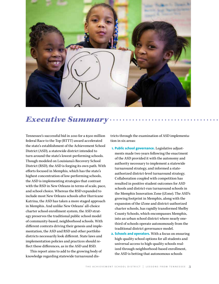

## *Executive Summary*

Tennessee's successful bid in 2010 for a \$500 million federal Race to the Top (RTTT) award accelerated the state's establishment of the Achievement School District (ASD), a statewide district intended to turn around the state's lowest-performing schools. Though modeled on Louisiana's Recovery School District (RSD), the ASD is forging its own path. With efforts focused in Memphis, which has the state's highest concentration of low-performing schools, the ASD is implementing strategies that contrast with the RSD in New Orleans in terms of scale, pace, and school choice. Whereas the RSD expanded to include most New Orleans schools after Hurricane Katrina, the ASD has taken a more staged approach in Memphis. And unlike New Orleans' all-choice charter school enrollment system, the ASD strategy preserves the traditional public school model of community-based, neighborhood schools. With different contexts driving their genesis and implementation, the ASD and RSD and other portfolio districts necessarily look different. State laws and implementation policies and practices should reflect these differences, as in the ASD and RSD.

This report aims to add to the growing body of knowledge regarding statewide turnaround districts through the examination of ASD implementation in six areas:

- **1. Public school governance.** Legislative adjustments made two years following the enactment of the ASD provided it with the autonomy and authority necessary to implement a statewide turnaround strategy, and informed a stateauthorized district-level turnaround strategy. Collaboration coupled with competition has resulted in positive student outcomes for ASD schools and district-run turnaround schools in the Memphis Innovation Zone (iZone). The ASD's growing footprint in Memphis, along with the expansion of the iZone and district-authorized charter schools, has rapidly transformed Shelby County Schools, which encompasses Memphis, into an urban school district where nearly onethird of schools operate autonomously from the traditional district governance model.
- **2. Schools and operators.** With a focus on ensuring high-quality school options for all students and universal access to high-quality schools realized through neighborhood-based enrollment, the ASD is betting that autonomous schools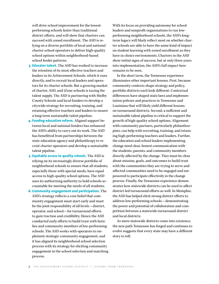will drive school improvement for the lowestperforming schools faster than traditional district efforts, and will show that charters can succeed with zoned enrollment. The ASD is relying on a diverse portfolio of local and national charter school operators to deliver high-quality school options within neighborhood-based school feeder patterns.

- **3. Educator talent.** The ASD has worked to increase the retention of its most effective teachers and leaders in its Achievement Schools, which it runs directly, and to recruit local leaders and operators for its charter schools. But a growing market of charter, ASD, and iZone schools is taxing the talent supply. The ASD is partnering with Shelby County Schools and local funders to develop a citywide strategy for recruiting, training, and retaining effective teachers and leaders to ensure a long-term sustainable talent pipeline.
- **4. Funding education reform.** Aligned support between local and national funders has enhanced the ASD's ability to carry out its work. The ASD has benefitted from partnerships between the state education agency and philanthropy to recruit charter operators and develop a sustainable talent pipeline.
- **5. Equitable access to quality schools.** The ASD is relying on its increasingly diverse portfolio of neighborhood schools to ensure that all students, especially those with special needs, have equal access to high-quality school options. The ASD uses its authorizing authority to hold schools accountable for meeting the needs of all students.
- **6. Community engagement and participation.** The ASD's strategy reflects a core belief that community engagement must start early and must be the joint responsibility of all levels—district, operator, and school—for turnaround efforts to gain traction and credibility. Hence the ASD conducted early efforts to build trust with families and community members of low-performing schools. The ASD works with operators to implement strategic community engagement, and it has aligned its neighborhood school selection process with its strategy for eliciting community engagement in the school selection and matching process.

With its focus on providing autonomy for school leaders and nonprofit organizations to run lowperforming neighborhood schools, the ASD's longterm legacy will likely reflect most on whether charter schools are able to have the same kind of impact on student learning with zoned enrollment as they have in choice environments. Charters in the ASD show initial signs of success, but at only three years into implementation, the ASD's full impact here remains to be seen.

In the short term, the Tennessee experience illuminates other important lessons. First, because community contexts shape strategy and policy, portfolio districts each look different. Contextual differences have shaped state laws and implementation policies and practices in Tennessee and Louisiana that will likely yield different lessons on turnaround districts. Second, a sufficient and sustainable talent pipeline is critical to support the growth of high-quality school options. Alignment with community partners, particularly philanthropists, can help with recruiting, training, and retaining high-performing teachers and leaders. Further, the education and school leaders implementing change need clear, honest communication with the students, parents, and community members directly affected by the change. They must be clear about mission, goals, and outcomes to build trust with the communities they are trying to serve and affected communities need to be engaged and empowered to participate effectively in the change process. Finally, the Tennessee experience demonstrates how statewide districts can be used to affect district-led turnaround efforts as well. In Memphis, the ASD has helped elicit strong district efforts to address low-performing schools—demonstrating the power and potential of collaboration and competition between a statewide turnaround district and local districts.

As more statewide districts come into existence, the new path Tennessee has forged and continues to evolve suggests that every state may have a different story to tell.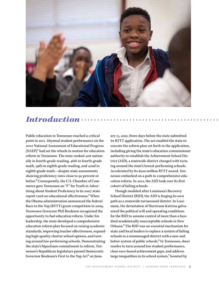

## *Introduction*

Public education in Tennessee reached a critical point in 2011. Abysmal student performance on the 2007 National Assessment of Educational Progress  $(NAEP)^1$  had set the wheels in motion for education reform in Tennessee. The state ranked 41st nationally in fourth-grade reading, 46th in fourth-grade math, 39th in eighth-grade reading, and 42nd in eighth-grade math—despite state assessments showing proficiency rates close to 90 percent or better.2 Consequently, the U.S. Chamber of Commerce gave Tennessee an "F" for Truth in Advertising about Student Proficiency in its 2007 state report card on educational effectiveness.3 When the Obama administration announced the federal Race to the Top (RTTT) grant competition in 2009, Tennessee Governor Phil Bredesen recognized the opportunity to fuel education reform. Under his leadership, the state developed a comprehensive education reform plan focused on raising academic standards, improving teacher effectiveness, expanding high-quality charter school options, and turning around low-performing schools. Demonstrating the state's bipartisan commitment to reform, Tennessee's Republican legislature passed Democratic Governor Bredesen's First to the Top Act<sup>4</sup> on January 15, 2010, three days before the state submitted its RTTT application. The act enabled the state to execute the reform plan set forth in the application, including giving the state's education commissioner authority to establish the Achievement School District (ASD), a statewide district charged with turning around the state's lowest-performing schools. Accelerated by its \$500 million RTTT award, Tennessee embarked on a path to comprehensive education reform. In 2012, the ASD took over its first cohort of failing schools.

Though modeled after Louisiana's Recovery School District (RSD), the ASD is forging its own path as a statewide turnaround district. In Louisiana, the devastation of Hurricane Katrina galvanized the political will and operating conditions for the RSD to assume control of more than a hundred academically unacceptable schools in New Orleans.5 The RSD was an essential mechanism for state and local leaders to replace a system of failing schools in a mismanaged district with a new and better system of public schools.<sup>6</sup> In Tennessee, sheer resolve to turn around low student performance, close race-based achievement gaps, and address large inequalities in its school system,<sup>7</sup> boosted by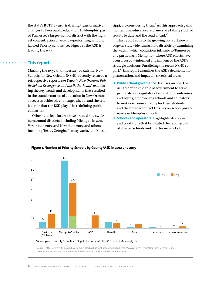the state's RTTT award, is driving transformative changes to K–12 public education. In Memphis, part of Tennessee's largest school district with the highest concentration of very low-performing schools, labeled Priority schools (see Figure 1), the ASD is leading the way.

#### **This report**

Marking the 10-year anniversary of Katrina, New Schools for New Orleans (NSNO) recently released a retrospective report, *Ten Years in New Orleans: Public School Resurgence and the Path Ahead,*8 examining the key trends and developments that resulted in the transformation of education in New Orleans, successes achieved, challenges ahead, and the critical role that the RSD played in redefining public education.

Other state legislatures have created statewide turnaround districts, including Michigan in 2011, Virginia in 2013, and Nevada in 2015, and others, including Texas, Georgia, Pennsylvania, and Mississippi, are considering them.<sup>9</sup> As this approach gains momentum, education reformers are taking stock of results to date and the road ahead.10

This report adds to the growing body of knowledge on statewide turnaround districts by examining the ways in which conditions intrinsic to Tennessee and particularly Memphis—where ASD efforts have been focused—informed and influenced the ASD's strategic decisions. Paralleling the recent NSNO report, $^{11}$  this report examines the ASD's decisions, implementation, and impact in six critical areas:

- **1. Public school governance:** Focuses on how the ASD redefines the role of government to serve primarily as a regulator of educational outcomes and equity, empowering schools and educators to make decisions directly for their students, and the broader impact this has on school governance in Memphis schools.
- **2. Schools and operators:** Highlights strategies and conditions that facilitated the rapid growth of charter schools and charter networks to

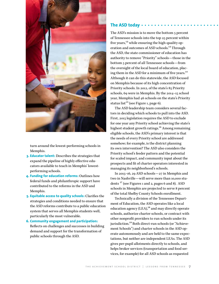

turn around the lowest-performing schools in Memphis.

- **3. Educator talent:** Describes the strategies that expand the pipeline of highly effective educators available to teach in Memphis' lowestperforming schools.
- **4. Funding for education reforms:** Outlines how federal funds and philanthropic support have contributed to the reforms in the ASD and Memphis.
- **5. Equitable access to quality schools:** Clarifies the strategies and conditions needed to ensure that the ASD reforms contribute to a public education system that serves all Memphis students well, particularly the most vulnerable.
- **6. Community engagement and participation:**  Reflects on challenges and successes in building demand and support for the transformation of public schools through the ASD.

#### **The ASD today**

The ASD's mission is to move the bottom 5 percent of Tennessee schools into the top 25 percent within five years, $^{12}$  while ensuring the high-quality operation and outcomes of ASD schools.13 Through the ASD, the state commissioner of education has authority to remove "Priority" schools—those in the bottom 5 percent of all Tennessee schools—from the oversight of the local board of education, placing them in the ASD for a minimum of five years.<sup>14</sup> Although it can do this statewide, the ASD focused on Memphis because of its high concentration of Priority schools. In 2012, of the state's 85 Priority schools, 69 were in Memphis. By the 2014–15 school year, Memphis had 46 schools on the state's Priority status list<sup>15</sup> (see Figure 1, page 6).

The ASD leadership team considers several factors in deciding which schools to pull into the ASD. First, 2015 legislation requires the ASD to exclude for one year any Priority school achieving the state's highest student growth ratings.<sup>16</sup> Among remaining eligible schools, the ASD's primary interest is that the needs of every Priority school are addressed somehow; for example, is the district planning its own intervention? The ASD also considers the Priority school's feeder pattern and the potential for scaled impact, and community input about the prospects and fit of charter operators interested in managing its neighborhood's schools.

In 2015–16, 29 ASD schools—27 in Memphis and two in Nashville—will serve more than 10,000 students  $17$  (see Figures 1 and 2, pages 6 and 8). ASD schools in Memphis are projected to serve 8 percent of the total Shelby County Schools enrollment.

Technically a division of the Tennessee Department of Education, the ASD operates like a local education agency  $(LEA)<sup>18</sup>$  and may directly operate schools, authorize charter schools, or contract with other nonprofit providers to run schools under its jurisdiction.<sup>19</sup> Both direct-run schools (or "Achievement Schools") and charter schools in the ASD operate autonomously and are held to the same expectations, but neither are independent LEAs. The ASD gives per-pupil allotments directly to schools, and helps broker services (transportation and food services, for example) for all ASD schools as requested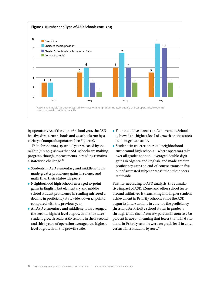

by operators. As of the 2015–16 school year, the ASD has five direct-run schools and 24 schools run by a variety of nonprofit operators (see Figure 2).

Data for the 2014–15 school year released by the ASD in July 2015 shows that ASD schools are making progress, though improvements in reading remains a statewide challenge.<sup>20</sup>

- Students in ASD elementary and middle schools made greater proficiency gains in science and math than their statewide peers.
- Neighborhood high schools averaged 10-point gains in English, but elementary and middle school student proficiency in reading mirrored a decline in proficiency statewide, down 1.5 points compared with the previous year.
- All ASD elementary and middle schools averaged the second-highest level of growth on the state's student growth scale; ASD schools in their second and third years of operation averaged the highest level of growth on the growth scale.
- Four out of five direct-run Achievement Schools achieved the highest level of growth on the state's student growth scale.
- Students in charter-operated neighborhood turnaround high schools—where operators take over all grades at once—averaged double-digit gains in Algebra and English, and made greater proficiency gains on end-of-course exams in five out of six tested subject areas $^{21}$  than their peers statewide.

Further, according to ASD analysis, the cumulative impact of ASD, iZone, and other school turnaround initiatives is translating into higher student achievement in Priority schools. Since the ASD began its interventions in 2012–13, the proficiency threshold for Priority school status in grades 3 through 8 has risen from 16.7 percent in 2012 to 26.0 percent in 2015—meaning that fewer than 1 in 6 students in Priority schools were on grade level in 2012, versus 1 in 4 students by  $2015.^{22}$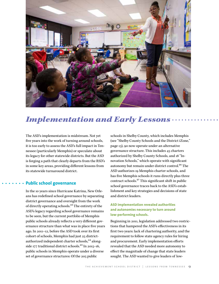

## *Implementation and Early Lessons*

The ASD's implementation is midstream. Not yet five years into the work of turning around schools, it is too early to assess the ASD's full impact in Tennessee (particularly Memphis) or speculate about its legacy for other statewide districts. But the ASD is forging a path that clearly departs from the RSD's in some key areas, providing different lessons from its statewide turnaround district.

#### **Public school governance**

In the 10 years since Hurricane Katrina, New Orleans has redefined school governance by separating district governance and oversight from the work of directly operating schools.23 The entirety of the ASD's legacy regarding school governance remains to be seen, but the current portfolio of Memphis public schools already reflects a very different governance structure than what was in place five years ago. In 2011–12, before the ASD took over its first cohort of schools, Memphis had just 25 districtauthorized independent charter schools,<sup>24</sup> alongside 177 traditional district schools.<sup>25</sup> In 2015-16, public schools in Memphis operate under a diverse set of governance structures: Of the 205 public

schools in Shelby County, which includes Memphis (see "Shelby County Schools and the District iZone," page 13), 90 now operate under an alternative governance structure. This includes 45 charters authorized by Shelby County Schools, and 18 "Innovation Schools," which operate with significant autonomy but remain under district control.<sup>26</sup> The ASD authorizes 19 Memphis charter schools, and has five Memphis schools it runs directly plus three contract schools.27 This significant shift in public school governance traces back to the ASD's establishment and key strategies and decisions of state and district leaders.

#### **ASD implementation revealed authorities and autonomies necessary to turn around low-performing schools.**

Beginning in 2011, legislation addressed two restrictions that hampered the ASD's effectiveness in its first two years: lack of chartering authority, and the requirement to follow state agency rules for hiring and procurement. Early implementation efforts revealed that the ASD needed more autonomy to effect the magnitude of change that state leaders sought. The ASD wanted to give leaders of low-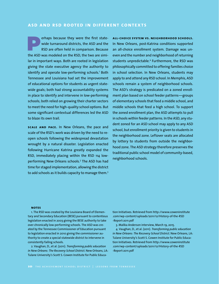#### **asd and rsd rooted in different contexts**

erhaps because they were the first statewide turnaround districts, the ASD and the RSD are often held in comparison. Because the ASD was modeled on the RSD, the two are similar in important ways. Both are rooted in legislation giving the state executive agency the authority to identify and operate low-performing schools.<sup>1</sup> Both Tennessee and Louisiana had set the improvement of educational options for students as urgent statewide goals; both had strong accountability systems in place to identify and intervene in low-performing schools; both relied on growing their charter sectors to meet the need for high-quality school options. But some significant contextual differences led the ASD to blaze its own trail.

**scale and pace.** In New Orleans, the pace and scale of the RSD's work was driven by the need to reopen schools following the widespread devastation wrought by a natural disaster. Legislation enacted following Hurricane Katrina greatly expanded the RSD, immediately placing within the RSD 114 lowperforming New Orleans schools.<sup>2</sup> The ASD has had time for staged implementation, allowing the district to add schools as it builds capacity to manage them.<sup>3</sup>

**all-choice system vs. neighborhood schools.** In New Orleans, post-Katrina conditions supported an all-choice enrollment system. Damage was uneven and the number and neighborhood of returning students unpredictable.<sup>4</sup> Furthermore, the RSD was philosophically committed to offering families choice in school selection. In New Orleans, students may apply to and attend any RSD school. In Memphis, ASD schools remain a system of neighborhood schools. The ASD's strategy is predicated on a zoned enrollment plan based on school feeder patterns—groups of elementary schools that feed a middle school, and middle schools that feed a high school. To support the zoned enrollment plan, the ASD attempts to pull in schools within feeder patterns. In the ASD, any student zoned for an ASD school may apply to any ASD school, but enrollment priority is given to students in the neighborhood zone. Leftover seats are allocated by lottery to students from outside the neighborhood zone. The ASD strategy therefore preserves the traditional public school model of community-based, neighborhood schools.

#### **notes**

1. The RSD was created by the Louisiana Board of Elementary and Secondary Education (BESE) pursuant to contentious legislation enacted in 2003 giving the BESE authority to take over chronically low-performing schools. The ASD was created by the Tennessee Commissioner of Education pursuant to legislation enacted in 2010 giving the commissioner authority to create a special statewide district to intervene in consistently failing schools.

2. Vaughan, D., et al. (2011). *Transforming public education in New Orleans: The Recovery School District*. New Orleans, LA: Tulane University's Scott S. Cowen Institute for Public Education Initiatives. Retrieved from [http://www.coweninstitute](http://www.coweninstitute.com/wp-content/uploads/2011/12/History-of-the-RSD-Report-2011.pdf) [.com/wp-content/uploads/2011/12/History-of-the-RSD](http://www.coweninstitute.com/wp-content/uploads/2011/12/History-of-the-RSD-Report-2011.pdf) [-Report-2011.pdf](http://www.coweninstitute.com/wp-content/uploads/2011/12/History-of-the-RSD-Report-2011.pdf)

3. Malika Anderson interview, March 19, 2015.

4. Vaughan, D., et al. (2011). *Transforming public education in New Orleans: The Recovery School District*. New Orleans, LA: Tulane University's Scott S. Cowen Institute for Public Education Initiatives. Retrieved from [http://www.coweninstitute](http://www.coweninstitute.com/wp-content/uploads/2011/12/History-of-the-RSD-Report-2011.pdf) [.com/wp-content/uploads/2011/12/History-of-the-RSD](http://www.coweninstitute.com/wp-content/uploads/2011/12/History-of-the-RSD-Report-2011.pdf) [-Report-2011.pdf](http://www.coweninstitute.com/wp-content/uploads/2011/12/History-of-the-RSD-Report-2011.pdf)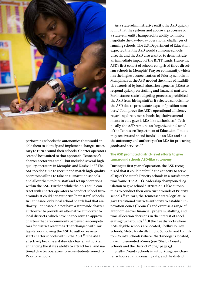

performing schools the autonomies that would enable them to identify and implement changes necessary to turn around their schools. Charter operators seemed best suited to that approach. Tennessee's charter sector was small, but included several highquality operators in Memphis and Nashville.<sup>28</sup> The ASD needed time to recruit and match high-quality operators willing to take on turnaround schools, and allow them to hire staff and set up operations within the ASD. Further, while the ASD could contract with charter operators to conduct school turnarounds, it could not authorize "new start" schools. In Tennessee, only local school boards had that authority. Tennessee did not have a statewide charter authorizer to provide an alternative authorizer to local districts, which have no incentive to approve charters that are commonly perceived as competitors for district resources. That changed with 2011 legislation allowing the ASD to authorize newstart charter schools within the ASD.<sup>29</sup> The ASD effectively became a statewide charter authorizer, enhancing the state's ability to attract local and national charter operators to serve students zoned to Priority schools.

As a state administrative entity, the ASD quickly found that the systems and approval processes of a state-run entity hampered its ability to nimbly negotiate the day-to-day operational challenges of running schools. The U.S. Department of Education expected that the ASD would run some schools directly, and the ASD also wanted to demonstrate an immediate impact of the RTTT funds. Hence the ASD's first cohort of schools comprised three directrun schools in Memphis' Frayser community, which has the highest concentration of Priority schools in Memphis. But the ASD needed the kinds of flexibilities exercised by local education agencies (LEAs) to respond quickly on staffing and financial matters. For instance, state budgeting processes prohibited the ASD from hiring staff as it selected schools into the ASD due to preset state caps on "position numbers." To improve the ASD's operational efficiency regarding direct-run schools, legislative amendments in 2012 gave it LEA-like authorities.<sup>30</sup> Technically, the ASD remains an "organizational unit" of the Tennessee Department of Education,<sup>31</sup> but it may receive and spend funds like an LEA and has the autonomy and authority of an LEA for procuring goods and services.32

#### **The ASD prompted district-level efforts to give turnaround schools ASD-like autonomy.**

During its first year of operation, the ASD recognized that it could not build the capacity to serve all 85 of the state's Priority schools in a satisfactory timeframe. The ASD's leadership championed legislation to give school districts ASD-like autonomies to conduct their own turnarounds of Priority schools.33 In 2012, the Tennessee state legislature gave traditional districts authority to establish Innovation Zones ("iZones") and exercise a range of autonomies over financial, program, staffing, and time allocation decisions in the interest of accelerating turnarounds.<sup>34</sup> Of the five districts where ASD-eligible schools are located, Shelby County Schools, Metro Nashville Public Schools, and Hamilton County Schools (where Chattanooga is located) have implemented iZones (see "Shelby County Schools and the District iZone," page 13).

Shelby County Schools is authorizing new charter schools at an increasing rate, and the district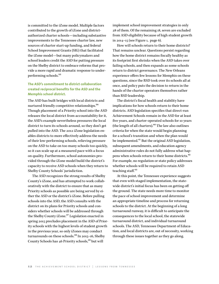is committed to the iZone model. Multiple factors contributed to the growth of iZone and districtauthorized charter schools—including substantive improvements to the Tennessee charter law, new sources of charter start-up funding, and federal School Improvement Grants (SIG) that facilitated the iZone model—but many policymakers and school leaders credit the ASD for putting pressure on the Shelby district to embrace reforms that provide a more rapid and dramatic response to underperforming schools.35

#### **The ASD's commitment to district collaboration created reciprocal benefits for the ASD and the Memphis school district.**

The ASD has built bridges with local districts and nurtured friendly competitive relationships.36 Though placement of a Priority school into the ASD releases the local district from accountability for it, the ASD's example nevertheless pressures the local district to turn its schools around, so they don't get pulled into the ASD. The 2012 iZone legislation enables districts to more effectively address the needs of their low-performing schools, relieving pressure on the ASD to take on too many schools too quickly, so it can scale up at a measured pace with a focus on quality. Furthermore, school autonomies provided through the iZone model build the district's capacity to receive ASD schools when they return to Shelby County Schools' jurisdiction.

The ASD recognizes the strong results of Shelby County's iZone, and has attempted to work collaboratively with the district to ensure that as many Priority schools as possible are being served by either the ASD or the district's iZone. Before pulling schools into the ASD, the ASD consults with the district on its plans for Priority schools and considers whether schools will be addressed through the Shelby County iZone.<sup>37</sup> Legislation enacted in spring 2015 precludes placement in the ASD of Priority schools with the highest levels of student growth in the previous year, so only iZones may conduct turnarounds on these schools.<sup>38</sup> In 2015-16, Shelby County Schools has 46 Priority schools,<sup>39</sup> but will

implement school improvement strategies in only 28 of them. Of the remaining 18, seven are excluded from ASD eligibility because of high student growth in 2014–15 (see Figure 1, page 6).

How will schools return to their home districts? That remains unclear. Questions persist regarding how the home district remains fiscally healthy as its footprint first shrinks when the ASD takes over failing schools, and then expands as some schools return to district governance. The New Orleans experience offers few lessons for Memphis on these questions, since the RSD took over its schools all at once, and policy puts the decision to return in the hands of the charter operators themselves rather than RSD leadership.

The district's fiscal health and stability have implications for how schools return to their home districts. ASD legislation specifies that direct-run Achievement Schools remain in the ASD for at least five years, and charter-operated schools for 10 years (the length of all charters).40 The law also outlines criteria for when the state would begin planning for a school's transition and when the plan would be implemented.<sup>41</sup> But the original ASD legislation, subsequent amendments, and education agency administrative rules do not fully address what happens when schools return to their home districts.<sup>42</sup> For example, no regulation or state policy addresses whether schools will be required to retain ASD teaching staff.<sup>43</sup>

At this point, the Tennessee experience suggests that even with staged implementation, the statewide district's initial focus has been on getting off the ground. The state needs more time to monitor the pace of school improvement and determine an appropriate timeline and process for returning schools to the district. At the beginning of a long turnaround runway, it is difficult to anticipate the consequences to the local school, the statewide turnaround district, and individual turnaround schools. The ASD, Tennessee Department of Education, and local districts are, out of necessity, working through these issues together as they go along.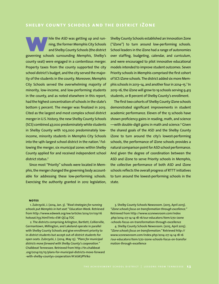hile the ASD was getting up and running, the former Memphis City Schools and Shelby County Schools (the district governing schools surrounding Memphis, Shelby's county seat) were engaged in a contentious merger. Property taxes from the county supported the city school district's budget, and the city served the majority of the students in the county. Moreover, Memphis City Schools served the overwhelming majority of minority, low-income, and low-performing students in the county, and as noted elsewhere in this report, had the highest concentration of schools in the state's bottom 5 percent. The merger was finalized in 2013. Cited as the largest and most complex school district merger in U.S. history, the new Shelby County Schools (SCS) combined 47,000 predominately white students in Shelby County with 103,000 predominately lowincome, minority students in Memphis City Schools into the 14th-largest school district in the nation.' Following the merger, six municipal zones within Shelby County applied for and received independent school district status.<sup>2</sup>

Since most "Priority" schools were located in Memphis, the merger changed the governing body accountable for addressing these low-performing schools. Exercising the authority granted in 2012 legislation, Shelby County Schools established an Innovation Zone ("iZone") to turn around low-performing schools. School leaders in the iZone had a range of autonomies over staffing, budgeting, calendar, and curriculum, and were encouraged to pilot innovative educational models intended to improve student outcomes. Seven Priority schools in Memphis comprised the first cohort of SCS iZone schools. The district added six more Memphis schools in 2013–14, and another four in 2014–15.<sup>3</sup> In 2015–16, the iZone will grow to 19 schools serving 9,413 students, or 8 percent of Shelby County's enrollment.

The first two cohorts of Shelby County iZone schools demonstrated significant improvements in student academic performance. Eleven of the 13 schools have shown proficiency gains in reading, math, and science —with double-digit gains in math and science.<sup>4</sup> Given the shared goals of the ASD and the Shelby County iZone to turn around the city's lowest-performing schools, the performance of iZone schools provides a natural comparison point for ASD school performance. And given the degree of coordination between the ASD and iZone to serve Priority schools in Memphis, the collective performance of both ASD and iZone schools reflects the overall progress of RTTT initiatives to turn around the lowest-performing schools in the state.

#### **notes**

1. Zubrzycki, J. (2014, Jan. 3). *"Rival strategies for running schools put Memphis in hot seat."* Education Week. Retrieved from [http://www.edweek.org/ew/articles/2014/01/09/16](http://www.edweek.org/ew/articles/2014/01/09/16hotseat.h33.html?intc=EW-QC14-TOC) [hotseat.h33.html?intc=EW-QC14-TOC](http://www.edweek.org/ew/articles/2014/01/09/16hotseat.h33.html?intc=EW-QC14-TOC)

2. The districts comprising Arlington, Bartlett, Collierville, Germantown, Millington, and Lakeland operate in parallel with Shelby County Schools and give enrollment priority to in-district students but accept out-of-district students for open seats. Zubrzycki, J. (2014, May 15). *"Plans for municipal districts move forward with Shelby County's cooperation."* Chalkbeat Tennessee. Retrieved from [http://tn.chalkbeat](http://tn.chalkbeat.org/2014/05/15/plans-for-municipal-districts-move-forward-with-shelby-countys-cooperation/#.VgXJpstVhBd) [.org/2014/05/15/plans-for-municipal-districts-move-forward](http://tn.chalkbeat.org/2014/05/15/plans-for-municipal-districts-move-forward-with-shelby-countys-cooperation/#.VgXJpstVhBd) [-with-shelby-countys-cooperation/#.VckK7PlViko](http://tn.chalkbeat.org/2014/05/15/plans-for-municipal-districts-move-forward-with-shelby-countys-cooperation/#.VgXJpstVhBd)

3. Shelby County Schools Newsroom. (2015, April 2015). *"iZone schools focus on transformation through excellence."* Retrieved from [http://www.scsnewsroom.com/index](http://www.scsnewsroom.com/index.php/2014-07-14-14-18-16/our-educators/item/270-izone-schools-focus-on-transformation-through-excellence) [.php/2014-07-14-14-18-16/our-educators/item/270-izone](http://www.scsnewsroom.com/index.php/2014-07-14-14-18-16/our-educators/item/270-izone-schools-focus-on-transformation-through-excellence) [-schools-focus-on-transformation-through-excellence](http://www.scsnewsroom.com/index.php/2014-07-14-14-18-16/our-educators/item/270-izone-schools-focus-on-transformation-through-excellence)

4. Shelby County Schools Newsroom. (2015, April 2015). *"iZone schools focus on transformation."* Retrieved [http://](http://www.scsnewsroom.com/index.php/2014-07-14-14-18-16/our-educators/item/270-izone-schools-focus-on-transformation-through-excellence) [www.scsnewsroom.com/index.php/2014-07-14-14-18-16](http://www.scsnewsroom.com/index.php/2014-07-14-14-18-16/our-educators/item/270-izone-schools-focus-on-transformation-through-excellence) [/our-educators/item/270-izone-schools-focus-on-transfor](http://www.scsnewsroom.com/index.php/2014-07-14-14-18-16/our-educators/item/270-izone-schools-focus-on-transformation-through-excellence) [mation-through-excellence](http://www.scsnewsroom.com/index.php/2014-07-14-14-18-16/our-educators/item/270-izone-schools-focus-on-transformation-through-excellence)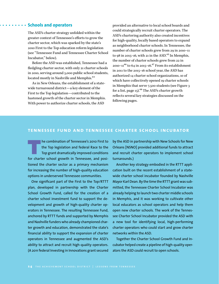#### **Schools and operators**

The ASD's charter strategy unfolded within the greater context of Tennessee's efforts to grow the charter sector, which was sparked by the state's 2010 First to the Top education reform legislation (see "Tennessee Fund and Tennessee Charter School Incubator," below).

Before the ASD was established, Tennessee had a fledgling charter sector, with only 21 charter schools in 2010, serving around 5,000 public school students, located mostly in Nashville and Memphis.44

As in New Orleans, the establishment of a statewide turnaround district—a key element of the First to the Top legislation—contributed to the hastened growth of the charter sector in Memphis. With power to authorize charter schools, the ASD

provided an alternative to local school boards and could strategically recruit charter operators. The ASD's chartering authority also created incentives for high-quality, locally based operators to expand as neighborhood charter schools. In Tennessee, the number of charter schools grew from 29 in 2010–11 to 98 in 2015–16, with 21 in the ASD.<sup>45</sup> In Memphis, the number of charter schools grew from 22 in 2010–11<sup>46</sup> to 64 in 2015–16.<sup>47</sup> From its establishment in 2011 to the 2015–16 school year, the ASD has authorized 14 charter school organizations, 10 of which have collectively opened 19 charter schools in Memphis that serve 7,500 students (see Figure 3 for a list, page 15).<sup>48</sup> The ASD's charter growth reflects several key strategies discussed on the following pages.

#### **tennessee fund and tennessee charter school incubator**

he combination of Tennessee's 2010 First to the Top legislation and federal Race to the Top grant dramatically improved conditions for charter school growth in Tennessee, and positioned the charter sector as a primary mechanism for increasing the number of high-quality education options in underserved Tennessee communities.

One significant part of the First to the Top/RTTT plan, developed in partnership with the Charter School Growth Fund, called for the creation of a charter school investment fund to support the development and growth of high-quality charter operators in Tennessee. The resulting Tennessee Fund, anchored by RTTT funds and supported by Memphis and Nashville funders who already championed charter growth and education, demonstrated the state's financial ability to support the expansion of charter operators in Tennessee and augmented the ASD's ability to attract and recruit high-quality operators. (A 2011 federal Investing in Innovations grant secured

by the ASD in partnership with New Schools for New Orleans [NSNO] provided additional funds to attract and recruit charter operators to implement school turnarounds.)

Another key strategy embodied in the RTTT application built on the recent establishment of a statewide charter school incubator founded by Nashville Mayor Karl Dean. By the time the RTTT grant was submitted, the Tennessee Charter School Incubator was already helping to launch two charter middle schools in Memphis, and it was working to cultivate other local educators as school operators and help them open new charter schools. The work of the Tennessee Charter School Incubator provided the ASD with a new tool for identifying local, high-performing charter operators who could start and grow charter networks within the ASD.

Together the Charter School Growth Fund and Incubator helped create a pipeline of high-quality operators the ASD could recruit to open schools.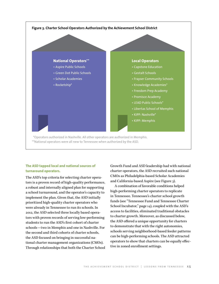

#### **The ASD tapped local and national sources of turnaround operators.**

The ASD's top criteria for selecting charter operators is a proven record of high-quality performance, a robust and internally aligned plan for supporting a school turnaround, and the operator's capacity to implement the plan. Given that, the ASD initially prioritized high-quality charter operators who were already in Tennessee to run its schools. In 2012, the ASD selected three locally based operators with proven records of serving low-performing students to run the ASD's first cohort of charter schools—two in Memphis and one in Nashville. For the second and third cohorts of charter schools, the ASD focused on bringing in successful national charter management organizations (CMOs). Through relationships that both the Charter School Growth Fund and ASD leadership had with national charter operators, the ASD recruited such national CMOs as Philadelphia-based Scholar Academies and California-based Aspire (see Figure 3).

A combination of favorable conditions helped high-performing charter operators to replicate in Tennessee. Tennessee's charter school growth funds (see "Tennessee Fund and Tennessee Charter School Incubator," page 14), coupled with the ASD's access to facilities, eliminated traditional obstacles to charter growth. Moreover, as discussed below, the ASD offered a unique opportunity for charters to demonstrate that with the right autonomies, schools serving neighborhood-based feeder patterns can be high-performing schools. The ASD attracted operators to show that charters can be equally effective in zoned enrollment settings.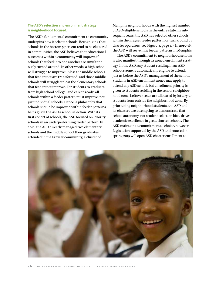#### **The ASD's selection and enrollment strategy is neighborhood focused.**

The ASD's fundamental commitment to community underpins how it selects schools. Recognizing that schools in the bottom 5 percent tend to be clustered in communities, the ASD believes that educational outcomes within a community will improve if schools that feed into one another are simultaneously turned around. In other words, a high school will struggle to improve unless the middle schools that feed into it are transformed; and those middle schools will struggle unless the elementary schools that feed into it improve. For students to graduate from high school college- and career-ready, all schools within a feeder pattern must improve, not just individual schools. Hence, a philosophy that schools should be improved within feeder patterns helps guide the ASD's school selection. With its first cohort of schools, the ASD focused on Priority schools in an underperforming feeder pattern. In 2012, the ASD directly managed two elementary schools and the middle school their graduates attended in the Frayser community, a cluster of

Memphis neighborhoods with the highest number of ASD-eligible schools in the entire state. In subsequent years, the ASD has selected other schools within the Frayser feeder pattern for turnaround by charter operators (see Figure 4, page 17). In 2015–16, the ASD will serve nine feeder patterns in Memphis.

The ASD's commitment to neighborhood schools is also manifest through its zoned enrollment strategy. In the ASD, any student residing in an ASD school's zone is automatically eligible to attend, just as before the ASD's management of the school. Students in ASD enrollment zones may apply to attend any ASD school, but enrollment priority is given to students residing in the school's neighborhood zone. Leftover seats are allocated by lottery to students from outside the neighborhood zone. By prioritizing neighborhood students, the ASD and its charters are attempting to demonstrate that school autonomy, not student selection bias, drives academic excellence in great charter schools. The ASD maintains a commitment to choice, however. Legislation supported by the ASD and enacted in spring 2015 will open ASD charter enrollment to

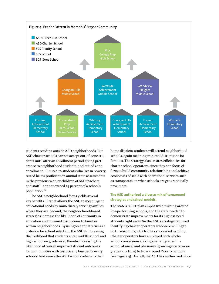

students residing outside ASD neighborhoods. But ASD charter schools cannot accept out-of-zone students until after an enrollment period giving preference to neighborhood students, and out-of-zone enrollment—limited to students who live in poverty, tested below proficient on annual state assessments in the previous year, or children of ASD teachers and staff—cannot exceed 25 percent of a school's population.49

The ASD's neighborhood focus yields several key benefits. First, it allows the ASD to meet urgent educational needs by immediately serving families where they are. Second, the neighborhood-based strategies increase the likelihood of continuity in education and minimal disruptions to families within neighborhoods. By using feeder patterns as a criterion for school selection, the ASD is increasing the likelihood that students enter middle school and high school on grade level, thereby increasing the likelihood of overall improved student outcomes for communities with historically low-performing schools. And even after ASD schools return to their

home districts, students will attend neighborhood schools, again meaning minimal disruptions for families. The strategy also creates efficiencies for charter school operators, since they can focus efforts to build community relationships and achieve economies of scale with operational services such as transportation when schools are geographically proximate.

#### **The ASD authorized a diverse mix of turnaround strategies and school models.**

The state's RTTT plan emphasized turning around low-performing schools, and the state needed to demonstrate improvements for its highest-need students right away. So the ASD's strategy required identifying charter operators who were willing to do turnarounds, which it has succeeded in doing. Charter operators have employed both wholeschool conversions (taking over all grades in a school at once) and phase-ins (growing one or more grades at a time) to turn around Priority schools (see Figure 4). Overall, the ASD has authorized more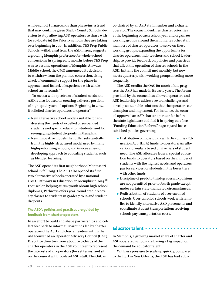whole-school turnarounds than phase-ins, a trend that may continue given Shelby County Schools' decision to stop allowing ASD operators to share with (or co-locate in) the Priority schools they are taking over beginning in 2015. In addition, YES Prep Public Schools' withdrawal from the ASD in 2015 suggests a growing Memphis preference for whole-school conversions: In spring 2015, months before YES Prep was to assume operations of Memphis' Airways Middle School, the CMO announced its decision to withdraw from the planned conversion, citing a lack of community support for the phase-in approach and its lack of experience with wholeschool turnarounds.<sup>50</sup>

To meet a wide spectrum of student needs, the ASD is also focused on creating a diverse portfolio of high-quality school options. Beginning in 2014, it solicited charter operators to operate:<sup>51</sup>

- $\bullet$  New alternative school models suitable for addressing the needs of expelled or suspended students and special education students, and for re-engaging student dropouts in Memphis.
- $\bullet$  New innovative models that differ substantially from the highly structured model used by many high-performing schools, and involve a new or developing approach to educating students, such as blended learning.

The ASD opened its first neighborhood Montessori school in fall 2015. The ASD also opened its first two alternative schools operated by a national CMO, Pathways in Education, in Memphis in 2014.<sup>52</sup> Focused on helping at-risk youth obtain high school diplomas, Pathways offers year-round credit recovery classes to students in grades 7 to 12 and student dropouts.

#### **The ASD's policies and practices are guided by feedback from charter operators.**

In an effort to build and shape partnerships and collect feedback to inform turnarounds led by charter operators, the ASD and charter leaders within the ASD convened an Operator Advisory Council (OAC). Executive directors from about two-thirds of the charter operators in the ASD volunteer to represent the interests of all operators (for set terms) and sit on the council with top-level ASD staff. The OAC is

co-chaired by an ASD staff member and a charter operator. The council identifies charter priorities at the beginning of each school year and organizes working groups around them. It invites other staff members of charter operators to serve on these working groups, expanding the opportunity for charter operators, their teachers and school leadership, to provide feedback on policies and practices that affect the operation of charter schools in the ASD. Initially the council met monthly, but now meets quarterly, with working groups meeting more frequently.

The ASD credits the OAC for much of the progress the ASD has made in its early years. The forum provided by the council has allowed operators and ASD leadership to address several challenges and develop sustainable solutions that the operators can champion and implement. For instance, the council approved an ASD charter operator fee before the state legislature codified it in spring 2015 (see "Funding Education Reform," page 21) and has established policies governing:

- Distribution of Individuals with Disabilities Education Act (IDEA) funds to operators: An allocation formula is based on five tiers of student need. The ASD allocates federal special education funds to operators based on the number of students with the highest needs, and operators pay for services for students in the lower tiers with other funds.
- Discipline of pre-K to third-graders: Expulsions are not permitted prior to fourth grade except under certain state-mandated circumstances.
- Redistribution of students of over-enrolled schools: Over-enrolled schools work with families to identify alternative ASD placements and coordinate student transportation; receiving schools pay transportation costs.

#### **Educator talent**

In Memphis, a growing market share of charter and ASD-operated schools are having a big impact on the demand for educator talent.

With less pressure to scale up quickly, compared to the RSD in New Orleans, the ASD has had addi-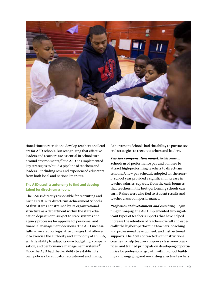

tional time to recruit and develop teachers and leaders for ASD schools. But recognizing that effective leaders and teachers are essential in school turnaround environments,<sup>53</sup> the ASD has implemented key strategies to build a pipeline of teachers and leaders—including new and experienced educators from both local and national markets.

#### **The ASD used its autonomy to find and develop talent for direct-run schools.**

The ASD is directly responsible for recruiting and hiring staff in its direct-run Achievement Schools. At first, it was constrained by its organizational structure as a department within the state education department, subject to state systems and agency processes for approval of personnel and financial management decisions. The ASD successfully advocated for legislative changes that allowed it to exercise the authority and autonomy of an LEA, with flexibility to adapt its own budgeting, compensation, and performance management systems.<sup>54</sup> Once the ASD had the flexibility to establish its own policies for educator recruitment and hiring,

Achievement Schools had the ability to pursue several strategies to recruit teachers and leaders.

*Teacher compensation model.* Achievement Schools used performance pay and bonuses to attract high-performing teachers to direct-run schools. A new pay schedule adopted for the 2012– 13 school year provided a significant increase in teacher salaries, separate from the cash bonuses that teachers in the best-performing schools can earn. Raises were also tied to student results and teacher classroom performance.

*Professional development and coaching.* Beginning in 2014–15, the ASD implemented two significant types of teacher supports that have helped increase the retention of teachers overall and especially the highest-performing teachers: coaching and professional development, and instructional supports. The ASD contracted with instructional coaches to help teachers improve classroom practices, and trained principals on developing opportunities for professional growth within school buildings and engaging and rewarding effective teachers.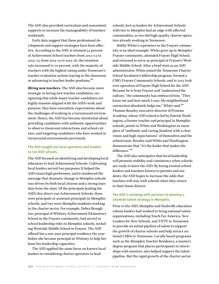The ASD also provided curriculum and assessment supports to increase the manageability of teachers' workloads.

Early data suggest that these professional development and support strategies have been effective. According to the ASD, it retained 54 percent of Achievement School teachers from 2013–14 to 2014–15; from 2014–15 to 2015–16, the retention rate increased to 70 percent, with the majority of teachers with the highest rating under Tennessee's teacher evaluation system staying in the classroom or advancing to teacher-leader positions.<sup>55</sup>

*Hiring new teachers.* The ASD also became more strategic in hiring new teacher candidates, recognizing that while many teacher candidates are highly mission-aligned with the ASD's work and purpose, they have unrealistic expectations about the challenges of working in a turnaround environment. Hence, the ASD has become intentional about providing candidates with authentic opportunities to observe classroom interactions and school culture, and targeting candidates who have worked in turnaround environments previously.

#### **The ASD sought out local operators and leaders to run ASD schools.**

The ASD focused on identifying and developing local educators to lead Achievement Schools. Cultivating local leaders served two purposes: It helped the ASD retain high performers, and it reinforced the message that dramatic change in Memphis schools was driven by both local citizens and a strong mandate from the state. Of the principals leading the ASD's five direct-run Achievement Schools, three were principals or assistant principals in Memphis schools, and two were Memphis residents working in the charter sector. For example, Debra Broughton, principal of Whitney Achievement Elementary School in the Frayser community, had served in school leadership roles in Memphis schools, including Westside Middle School in Frayser. The ASD offered her a one-year principal residency the year before she became principal at Whitney to help her hone her leadership capacities.

The ASD applied the same focus on known local leaders in considering charter operators to lead

schools. Just as leaders for Achievement Schools with ties to Memphis had an edge with affected communities, so too did high-quality charter operators already working in Tennessee.

Bobby White's experience in the Frayser community is an ideal example. White grew up in Memphis' Frayser community, attended Frayser High School, and returned to serve as principal at Frayser's Westside Middle School. After a brief stint as an ASD administrator, White joined the Tennessee Charter School Incubator's fellowship program, formed a CMO, Frayser Community Schools, and in 2013 took over operation of Frayser High School for the ASD. Because he is from Frayser and "understood the culture," the community has embraced him. "They know me and how much I care. My neighborhood connection absolutely helps me," White said.56 Thomas Beazley, executive director of Promise Academy, whose ASD school is led by Patrick Washington, a former teacher and principal in Memphis schools, points to White and Washington as exemplars of "authentic and caring [leaders] with a clear vision and high expectations" of themselves and the school team. Beazley said White and Washington demonstrate that "it's the leader that makes the difference."<sup>57</sup>

The ASD also anticipates that local leadership will promote stability and consistency when schools are ready to leave the ASD. By hiring trusted school leaders and teachers known to parents and students, the ASD hopes to increase the odds that teachers will stay with schools when they return to their home district.

#### **The ASD is working with partners to develop a citywide talent strategy in Memphis.**

Prior to the ASD, Memphis and Nashville education reform leaders had worked to bring national talent organizations, including Teach For America, New Leaders for New Schools, and TNTP, to Tennessee to provide an initial pipeline of talent to support the growth of charter schools and help attract national CMOs to Tennessee. Locally based programs such as the Memphis Teacher Residency, a master's degree program that places participants in internships with mentors, also helped support the talent pipeline. But the rapid growth of the charter sector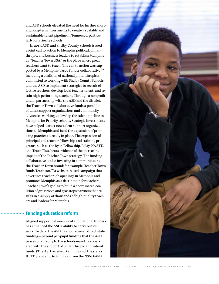and ASD schools elevated the need for further shortand long-term investments to create a scalable and sustainable talent pipeline in Tennessee, particularly for Priority schools.

In 2014, ASD and Shelby County Schools issued a joint call to action to Memphis political, philanthropic, and business leaders to establish Memphis as "Teacher Town USA," or the place where great teachers want to teach. The call to action was supported by a Memphis-based funder collaborative,<sup>58</sup> including a coalition of national philanthropists, committed to working with Shelby County Schools and the ASD to implement strategies to recruit effective teachers, develop local teacher talent, and retain high-performing teachers. Through a nonprofit and in partnership with the ASD and the district, the Teacher Town collaborative funds a portfolio of talent support organizations and community advocates working to develop the talent pipeline in Memphis for Priority schools. Strategic investments have helped attract new talent support organizations to Memphis and fund the expansion of promising practices already in place. The expansion of principal and teacher fellowship and training programs, such as the Ryan Fellowship, Relay, NAATE, and Teach Plus, bears evidence of the increasing impact of the Teacher Town strategy. The funding collaborative is also investing in communicating the Teacher Town brand; for example, Teacher Town funds Teach 901,<sup>59</sup> a website-based campaign that advertises teacher job openings in Memphis and promotes Memphis as a destination for teachers. Teacher Town's goal is to build a coordinated coalition of grassroots and grasstops partners that results in a supply of thousands of high-quality teachers and leaders for Memphis.

#### **Funding education reform**

Aligned support between local and national funders has enhanced the ASD's ability to carry out its work. To date, the ASD has not received direct state funding—beyond per-pupil funding that the ASD passes on directly to the schools—and has operated with the support of philanthropic and federal funds. (The ASD received \$22 million of the state's RTTT grant and \$6.8 million from the NSNO/ASD

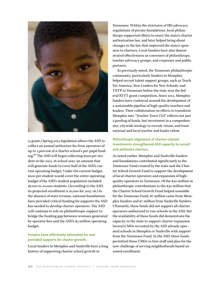

i3 grant.) Spring 2015 legislation allows the ASD to collect an annual authorizer fee from operators of up to 3 percent of a charter school's per-pupil funding.60 The ASD will begin collecting \$200 per student in the 2015–16 school year, an amount that will generate funds to cover half of the ASD's current operating budget. Under the current budget, \$200 per student would cover the entire operating budget if the ASD's student population included 18,000 to 20,000 students. (According to the ASD, its projected enrollment is 10,000 for 2015–16.) In the absence of state revenue, national foundations have provided critical funding for supports the ASD has needed to develop charter operators. The ASD will continue to rely on philanthropic support to bridge the funding gap between revenues generated by operator fees and the ASD's \$5 million operating budget.

#### **Funders have effectively advocated for and provided supports for charter growth.**

Local funders in Memphis and Nashville have a long history of supporting charter school growth in

Tennessee. Within the strictures of IRS advocacy regulations of private foundations, local philanthropy supported efforts to enact the state's charter authorization law, and later helped bring about changes in the law that improved the state's openness to charters. Local funders have also demonstrated effectiveness as conveners of philanthropy, teacher advocacy groups, and corporate and public partners.

As previously noted, the Tennessee philanthropic community, particularly funders in Memphis, helped recruit talent support groups, such as Teach For America, New Leaders for New Schools, and TNTP to Tennessee before the state won the federal RTTT grant competition. Since 2013, Memphis funders have coalesced around the development of a sustainable pipeline of high-quality teachers and leaders. Their collaboration on efforts to transform Memphis into "Teacher Town USA" reflects not just a pooling of funds, but investment in a comprehensive, citywide strategy to recruit, retain, and train national and local teacher and leader talent.

#### **Philanthropic alignment of charter-related investments strengthened ASD capacity to recruit and authorize charters.**

As noted earlier, Memphis and Nashville funders and foundations contributed significantly to the Tennessee Fund created by the state and the Charter School Growth Fund to support the development of local charter operators and expansion of highquality operators in Tennessee. Of the \$20 million in philanthropic contributions to the \$30 million that the Charter School Growth Fund helped assemble for the Tennessee Fund, \$7 million came from Memphis funders and \$7 million from Nashville funders. Ultimately, these funds did not support all charter operators authorized to run schools in the ASD, but the availability of these funds did demonstrate the capacity in the state to support charter expansion. Several CMOs recruited by the ASD already operated schools in Memphis or Nashville with support from the Tennessee Fund. In the ASD, these funds permitted these CMOs to hire staff and plan for the new challenge of serving neighborhoods based on zoned enrollment.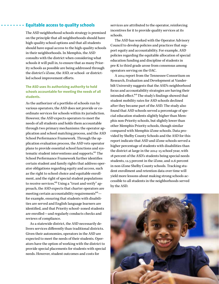#### **Equitable access to quality schools**

The ASD neighborhood schools strategy is premised on the principle that all neighborhoods should have high-quality school options and that all students should have equal access to the high-quality schools in their neighborhoods. In Memphis, the ASD consults with the district when considering what schools it will pull in, to ensure that as many Priority schools as possible are being addressed through the district's iZone, the ASD, or school- or districtled school improvement efforts.

#### **The ASD uses its authorizing authority to hold schools accountable for meeting the needs of all students.**

As the authorizer of a portfolio of schools run by various operators, the ASD does not provide or coordinate services for schools within its jurisdiction. However, the ASD expects operators to meet the needs of all students and holds them accountable through two primary mechanisms: the operator application and school matching process, and the ASD School Performance Framework. Through the application evaluation process, the ASD vets operator plans to provide essential school functions and systematic student interventions and supports.<sup>61</sup> The School Performance Framework further identifies certain student and family rights that address operator obligations regarding equity and access, such as the right to school choice and equitable enrollment, and the right of special student populations to receive services.<sup>62</sup> Using a "trust and verify" approach, the ASD expects that charter operators are meeting certain accountability requirements $63$ for example, ensuring that students with disabilities are served and English language learners are identified, and that Priority school–zoned students are enrolled—and regularly conducts checks and reviews of compliance.

As a statewide district, the ASD necessarily delivers services differently than traditional districts. Given their autonomies, operators in the ASD are expected to meet the needs of their students. Operators have the option of working with the district to provide special placements for students with special needs. However, student outcomes and costs for

services are attributed to the operator, reinforcing incentives for it to provide quality services at its schools.

The ASD has worked with the Operator Advisory Council to develop policies and practices that support equity and accountability. For example, ASD policies regarding the equitable allocation of special education funding and discipline of students in pre-K to third grade arose from consensus among operators serving on the OAC.

A 2014 report from the Tennessee Consortium on Research, Evaluation and Development at Vanderbilt University suggests that the ASD's neighborhood focus and accountability strategies are having their intended effect.<sup>64</sup> The study's findings showed that student mobility rates for ASD schools declined after they became part of the ASD. The study also found that ASD schools served a percentage of special education students slightly higher than Memphis non-Priority schools, but slightly lower than other Memphis Priority schools, though similar compared with Memphis iZone schools. Data provided by Shelby County Schools and the ASD for this report indicate that ASD and iZone schools served a higher percentage of students with disabilities than the district at large in the 2014–15 school year, with 18 percent of the ASD's students being special needs students, 12.5 percent in the iZone, and 11.6 percent in non-iZone Shelby County schools. Tracking student enrollment and retention data over time will yield more lessons about making strong schools accessible to all students in the neighborhoods served by the ASD.

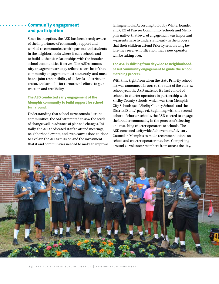#### **Community engagement and participation**

Since its inception, the ASD has been keenly aware of the importance of community support and worked to communicate with parents and students in the neighborhoods where it runs schools and to build authentic relationships with the broader school communities it serves. The ASD's community engagement strategy reflects a core belief that community engagement must start early, and must be the joint responsibility of all levels—district, operator, and school—for turnaround efforts to gain traction and credibility.

#### **The ASD conducted early engagement of the Memphis community to build support for school turnaround.**

Understanding that school turnarounds disrupt communities, the ASD attempted to sow the seeds of change well in advance of planned changes. Initially, the ASD dedicated staff to attend meetings, neighborhood events, and even canvas door-to-door to explain the ASD's mission and the investment that it and communities needed to make to improve failing schools. According to Bobby White, founder and CEO of Frayser Community Schools and Memphis native, that level of engagement was important —parents have to understand early in the process that their children attend Priority schools long before they receive notification that a new operator will be taking over.

#### **The ASD is shifting from citywide to neighborhoodbased community engagement to guide the school matching process.**

With time tight from when the state Priority school list was announced in 2011 to the start of the 2011–12 school year, the ASD matched its first cohort of schools to charter operators in partnership with Shelby County Schools, which was then Memphis City Schools (see "Shelby County Schools and the District iZone," page 13). Beginning with the second cohort of charter schools, the ASD elected to engage the broader community in the process of selecting and matching charter operators to schools. The ASD convened a citywide Achievement Advisory Council in Memphis to make recommendations on school and charter operator matches. Comprising around 20 volunteer members from across the city,

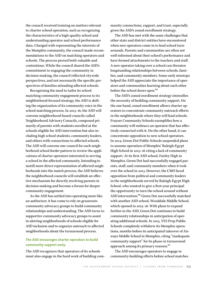the council received training on matters relevant to charter school operation, such as recognizing the characteristics of a high-quality school and understanding operator and school performance data. Charged with representing the interests of the Memphis community, the council made recommendations to the ASD on matching operators and schools. The process proved both valuable and contentious. While the council shared the ASD's commitment to engaging the community in decision-making, the council reflected citywide perspectives, and not necessarily the specific perspectives of families attending affected schools.

Recognizing the need to tailor its school matching community engagement process to its neighborhood-focused strategy, the ASD is shifting the organization of its community voice in the school matching process. In 2015–16, the ASD will convene neighborhood-based councils called Neighborhood Advisory Councils, composed primarily of parents with students enrolled at the schools eligible for ASD intervention but also including high school students, community leaders, and others with connections to affected schools. The ASD will convene one council for each neighborhood school feeder pattern to review the applications of charter operators interested in serving a school in the affected community. Intending to instill more direct representation of affected neighborhoods into the match process, the ASD believes the neighborhood councils will establish an effective mechanism for directly involving parents in decision-making and become a forum for deeper community engagement.

As the ASD has settled into operating more like an authorizer, it has come to rely on grassroots community advocacy groups to build community relationships and understanding. The ASD turns to supportive community advocacy groups to assist in alerting neighborhoods of schools eligible for ASD inclusion and to organize outreach to affected neighborhoods about the turnaround process.

#### **The ASD encourages charter operators to build community support early.**

The ASD recognizes that operators of its schools must also engage in the hard work of building community connections, rapport, and trust, especially given the ASD's zoned enrollment strategy.

The ASD has met with the same challenges that other state and district entities have encountered when new operators come in to lead school turnarounds. Parents and communities are often not well-informed about their school's performance and have formed attachments to the teachers and staff. A new operator taking over a school can threaten longstanding relationships between schools, families, and community members. Some early missteps helped the ASD appreciate the importance of operators and communities learning about each other before the school doors open.<sup>65</sup>

The ASD's zoned enrollment strategy intensifies the necessity of building community support. On the one hand, zoned enrollment allows charter operators to concentrate community outreach efforts in the neighborhoods where they will lead schools. Frayser Community Schools exemplifies how a community will embrace an operator that has effectively connected with it. On the other hand, it can concentrate opposition to new school operators. In 2014, Green Dot Public Schools suspended plans to assume operation of Memphis' Raleigh-Egypt High School in 2015–16 citing a lack of community support. At its first ASD school, Fairley High in Memphis, Green Dot had successfully engaged parents, staff, and community members when it took over the school in 2013. However, the CMO faced opposition from political and community leaders in the neighborhoods served by Raleigh-Egypt High School, who wanted to give a first-year principal the opportunity to turn the school around without ASD intervention.<sup>66</sup> Green Dot successfully matched with another ASD school, Wooddale Middle School, which opened in 2015–16. With plans to expand further in the ASD, Green Dot continues to build community relationships in anticipation of operating additional schools. In 2015, YES Prep Public Schools completely withdrew its Memphis operations, months before its anticipated takeover of Airways Middle School in Memphis, citing "inadequate community support" for its phase-in turnaround approach among its primary reasons.<sup>67</sup>

The ASD encourages operators to engage in community-building efforts before school matches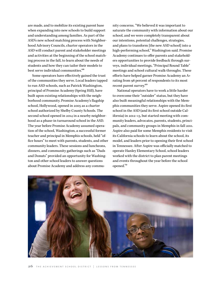are made, and to mobilize its existing parent base when expanding into new schools to build support and understanding among families. As part of the ASD's new school matching process with Neighborhood Advisory Councils, charter operators in the ASD will conduct parent and stakeholder meetings and activities at the beginning of the school matching process in the fall, to learn about the needs of students and how they can tailor their models to best serve individual communities.<sup>68</sup>

Some operators have effectively gained the trust of the communities they serve. Local leaders tapped to run ASD schools, such as Patrick Washington, principal of Promise Academy (Spring Hill), have built upon existing relationships with the neighborhood community. Promise Academy's flagship school, Hollywood, opened in 2005 as a charter school authorized by Shelby County Schools. The second school opened in 2014 in a nearby neighborhood as a phase-in turnaround school in the ASD. The year before Promise Academy assumed operation of the school, Washington, a successful former teacher and principal in Memphis schools, held "office hours" to meet with parents, students, and other community leaders. These sessions and luncheons, dinners, and community gatherings such as "Dads and Donuts" provided an opportunity for Washington and other school leaders to answer questions about Promise Academy and address any community concerns. "We believed it was important to saturate the community with information about our school, and we were completely transparent about our intentions, potential challenges, strategies, and plans to transform [the new ASD school] into a high-performing school," Washington said. Promise Academy continues to offer parents and stakeholders opportunities to provide feedback through surveys, individual meetings, "Principal Round Table" meetings and school cultural walk-throughs. These efforts have helped garner Promise Academy an A+ rating from 98 percent of respondents to its most recent parent survey.<sup>69</sup>

National operators have to work a little harder to overcome their "outsider" status, but they have also built meaningful relationships with the Memphis communities they serve. Aspire opened its first school in the ASD (and its first school outside California) in 2012–13, but started meeting with community leaders, advocates, parents, students, principals, and community groups in Memphis in fall 2011. Aspire also paid for some Memphis residents to visit its California schools to learn about the school, its model, and leaders prior to opening their first school in Tennessee. After Aspire was officially matched to operate Hanley Elementary School, school leaders worked with the district to plan parent meetings and events throughout the year before the school opened.70

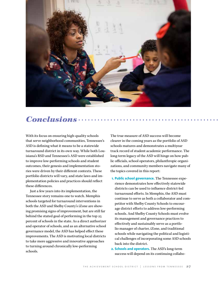

## *Conclusions*

With its focus on ensuring high-quality schools that serve neighborhood communities, Tennessee's ASD is defining what it means to be a statewide turnaround district in its own way. While both Louisiana's RSD and Tennessee's ASD were established to improve low-performing schools and student outcomes, their genesis and implementation stories were driven by their different contexts. These portfolio districts will vary, and state laws and implementation policies and practices should reflect these differences.

Just a few years into its implementation, the Tennessee story remains one to watch. Memphis schools targeted for turnaround interventions in both the ASD and Shelby County's iZone are showing promising signs of improvement, but are still far behind the stated goal of performing in the top 25 percent of schools in the state. As a direct authorizer and operator of schools, and as an alternative school governance model, the ASD has helped effect these improvements. The ASD is motivating local districts to take more aggressive and innovative approaches to turning around chronically low-performing schools.

The true measure of ASD success will become clearer in the coming years as the portfolio of ASD schools matures and demonstrates a multiyear track record of student academic performance. The long-term legacy of the ASD will hinge on how public officials, school operators, philanthropic organizations, and community members navigate many of the topics covered in this report:

- **1. Public school governance.** The Tennessee experience demonstrates how effectively statewide districts can be used to influence district-led turnaround efforts. In Memphis, the ASD must continue to serve as both a collaborator and competitor with Shelby County Schools to encourage district efforts to address low-performing schools. And Shelby County Schools must evolve its management and governance practices to effectively and sustainably serve as a portfolio manager of charter, iZone, and traditional schools while navigating the political and logistical challenges of incorporating some ASD schools back into the district.
- **2. Schools and operators.** The ASD's long-term success will depend on its continuing collabo-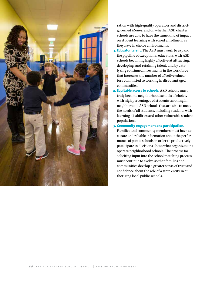

ration with high-quality operators and districtgoverned iZones, and on whether ASD charter schools are able to have the same kind of impact on student learning with zoned enrollment as they have in choice environments.

- **3. Educator talent.** The ASD must work to expand the pipeline of exceptional educators, with ASD schools becoming highly effective at attracting, developing, and retaining talent, and by catalyzing continued investments in the workforce that increases the number of effective educators committed to working in disadvantaged communities.
- **4. Equitable access to schools.** ASD schools must truly become neighborhood schools of choice, with high percentages of students enrolling in neighborhood ASD schools that are able to meet the needs of all students, including students with learning disabilities and other vulnerable student populations.

#### **5. Community engagement and participation.**

Families and community members must have accurate and reliable information about the performance of public schools in order to productively participate in decisions about what organizations operate neighborhood schools. The process for soliciting input into the school matching process must continue to evolve so that families and communities develop a greater sense of trust and confidence about the role of a state entity in authorizing local public schools.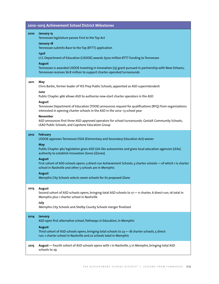| 2010-2015 Achievement School District Milestones |                                                                                                                                                                                                                                                                                                                                                                                                                                                                                                                                                                               |  |  |  |  |  |
|--------------------------------------------------|-------------------------------------------------------------------------------------------------------------------------------------------------------------------------------------------------------------------------------------------------------------------------------------------------------------------------------------------------------------------------------------------------------------------------------------------------------------------------------------------------------------------------------------------------------------------------------|--|--|--|--|--|
| 2010                                             | January 15<br>Tennessee legislature passes First to the Top Act<br>January 18<br>Tennessee submits Race to the Top (RTTT) application<br>April<br>U.S. Department of Education (USDOE) awards \$500 million RTTT funding to Tennessee<br><b>August</b><br>Tennessee is awarded USDOE Investing in Innovation (i3) grant pursued in partnership with New Orleans;<br>Tennessee receives \$6.8 million to support charter-operated turnarounds                                                                                                                                  |  |  |  |  |  |
| 2011                                             | May<br>Chris Barbic, former leader of YES Prep Public Schools, appointed as ASD superintendent<br>June<br>Public Chapter 466 allows ASD to authorize new-start charter operators in the ASD<br>August<br>Tennessee Department of Education (TDOE) announces request for qualifications (RFQ) from organizations<br>interested in opening charter schools in the ASD in the 2012-13 school year<br><b>November</b><br>ASD announces first three ASD-approved operators for school turnarounds: Gestalt Community Schools,<br>LEAD Public Schools, and Capstone Education Group |  |  |  |  |  |
| 2012                                             | <b>February</b><br>USDOE approves Tennessee ESEA (Elementary and Secondary Education Act) waiver<br><b>May</b><br>Public Chapter 962 legislation gives ASD LEA-like autonomies and gives local education agencies (LEAs)<br>authority to establish Innovation Zones (iZones)<br><b>August</b><br>First cohort of ASD schools opens: 3 direct-run Achievement Schools; 3 charter schools - of which 1 is charter<br>school in Nashville and other 5 schools are in Memphis<br><b>August</b><br>Memphis City Schools selects seven schools for its proposed iZone               |  |  |  |  |  |
| 2013                                             | August<br>Second cohort of ASD schools opens, bringing total ASD schools to 17-11 charter, 6 direct-run; 16 total in<br>Memphis plus 1 charter school in Nashville<br>July<br>Memphis City Schools and Shelby County Schools merger finalized                                                                                                                                                                                                                                                                                                                                 |  |  |  |  |  |
| 2014                                             | <b>January</b><br>ASD open first alternative school, Pathways in Education, in Memphis<br><b>August</b><br>Third cohort of ASD schools opens, bringing total schools to 23 - 18 charter schools, 5 direct-<br>run; 1 charter school in Nashville and 22 schools total in Memphis                                                                                                                                                                                                                                                                                              |  |  |  |  |  |
| 2015                                             | August - Fourth cohort of ASD schools opens with 1 in Nashville, 5 in Memphis, bringing total ASD<br>schools to 29                                                                                                                                                                                                                                                                                                                                                                                                                                                            |  |  |  |  |  |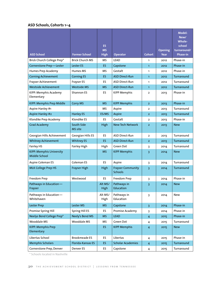#### **ASD Schools, Cohorts 1–4**

| <b>ASD School</b>                         | <b>Former School</b>   | <b>ES</b><br><b>MS</b><br><b>High</b> | Operator                                   | <b>Cohort</b>  | <b>Opening</b><br>Year | Model:<br>New/<br><b>Whole-</b><br>school<br>turnaround/<br><b>Phase-in</b> |
|-------------------------------------------|------------------------|---------------------------------------|--------------------------------------------|----------------|------------------------|-----------------------------------------------------------------------------|
| Brick Church College Prep*                | <b>Brick Church MS</b> | <b>MS</b>                             | <b>LEAD</b>                                | $\mathbf{1}$   | 2012                   | Phase-in                                                                    |
| Cornerstone Prep-Lester                   | Lester ES              | ES.                                   | Capstone                                   | $\mathbf{1}$   | 2012                   | Phase-in                                                                    |
| Humes Prep Academy                        | Humes MS               | MS                                    | Gestalt                                    | 1              | 2012                   | Phase-in                                                                    |
| <b>Corning Achievement</b>                | <b>Corning ES</b>      | ES.                                   | <b>ASD Direct-Run</b>                      | $\mathbf{1}$   | 2012                   | Turnaround                                                                  |
| Frayser Achievement                       | Frayser ES             | ES                                    | ASD Direct-Run                             | 1              | 2012                   | Turnaround                                                                  |
| Westside Achievement                      | <b>Westside MS</b>     | <b>MS</b>                             | <b>ASD Direct-Run</b>                      | $\mathbf{1}$   | 2012                   | Turnaround                                                                  |
| KIPP: Memphis Academy<br>Elementary       | Shannon ES             | ES.                                   | <b>KIPP Memphis</b>                        | $\overline{2}$ | 2013                   | Phase-in                                                                    |
| KIPP: Memphis Prep Middle                 | <b>Corry MS</b>        | <b>MS</b>                             | <b>KIPP Memphis</b>                        | $\overline{2}$ | 2013                   | Phase-in                                                                    |
| Aspire Hanley #1                          |                        | MS                                    | Aspire                                     | 2              | 2013                   | Turnaround                                                                  |
| <b>Aspire Hanley #2</b>                   | <b>Hanley ES</b>       | ES/MS                                 | Aspire                                     | $\overline{2}$ | 2013                   | Turnaround                                                                  |
| Klondike Prep Academy                     | Klondike ES            | ES                                    | Gestalt                                    | $\mathbf{2}$   | 2013                   | Phase-in                                                                    |
| <b>Grad Academy</b>                       | South Side<br>MS site  | High                                  | New Tech Network                           | $\overline{2}$ | 2013                   | <b>New</b>                                                                  |
| Georgian Hills Achievement                | Georgian Hills ES      | ES.                                   | ASD Direct-Run                             | $\overline{2}$ | 2013                   | Turnaround                                                                  |
| <b>Whitney Achievement</b>                | <b>Whitney ES</b>      | ES.                                   | <b>ASD Direct-Run</b>                      | $\overline{2}$ | 2013                   | Turnaround                                                                  |
| Fairley HS                                | Fairley High           | High                                  | Green Dot                                  | 3              | 2014                   | Turnaround                                                                  |
| KIPP: Memphis University<br>Middle School |                        | <b>MS</b>                             | <b>KIPP Memphis</b>                        | 3              | 2014                   | <b>New</b>                                                                  |
| Aspire Coleman ES                         | Coleman ES             | ES.                                   | Aspire                                     | 3              | 2014                   | Turnaround                                                                  |
| <b>MLK College Prep HS</b>                | Frayser High           | High                                  | <b>Frayser Community</b><br><b>Schools</b> | $\overline{3}$ | 2014                   | Turnaround                                                                  |
| Freedom Prep                              | Westwood               | ES.                                   | Freedom Prep                               | 3              | 2014                   | Phase-in                                                                    |
| Pathways in Education-<br>Frayser         |                        | Alt MS/<br>High                       | Pathways in<br>Education                   | 3              | 2014                   | <b>New</b>                                                                  |
| Pathways in Education-<br>Whitehaven      |                        | Alt MS/<br>High                       | Pathways in<br>Education                   | 3              | 2014                   | New                                                                         |
| Lester Prep                               | Lester MS              | <b>MS</b>                             | Capstone                                   | $\overline{3}$ | 2014                   | Phase-in                                                                    |
| Promise Spring Hill                       | Spring Hill ES         | ES                                    | Promise Academy                            | 3              | 2014                   | Phase-in                                                                    |
| Neelys Bend College Prep*                 | Neely's Bend MS        | <b>MS</b>                             | <b>LEAD</b>                                | $\overline{4}$ | 2015                   | Phase-in                                                                    |
| Wooddale MS                               | Wooddale MS            | MS                                    | Green Dot                                  | 4              | 2015                   | Turnaround                                                                  |
| <b>KIPP: Memphis Prep</b><br>Elementary   |                        | ES.                                   | <b>KIPP Memphis</b>                        | $\overline{4}$ | 2015                   | <b>New</b>                                                                  |
| Libertas School                           | <b>Brookmeade ES</b>   | ES.                                   | Libertas                                   | 4              | 2015                   | Phase-in                                                                    |
| <b>Memphis Scholars</b>                   | Florida-Kansas ES      | ES.                                   | <b>Scholar Academies</b>                   | $\overline{4}$ | 2015                   | Turnaround                                                                  |
| Cornerstone Prep, Denver                  | Denver ES              | ES                                    | Capstone                                   | 4              | 2015                   | Turnaround                                                                  |

\* Schools located in Nashville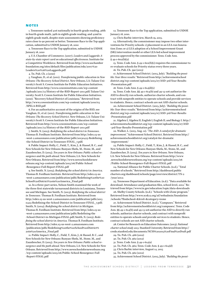#### **notes**

1. Tennessee ranked 41st nationally in fourth-grade reading, 46th in fourth-grade math, 39th in eighth-grade reading, and 42nd in eighth-grade math, despite state assessments showing proficiency rates close to 90 percent or better. Tennessee Race to the Top application, submitted to USDOE January 18, 2010

2. Tennessee Race to the Top application, submitted to USDOE January 18, 2010

3. U.S. Chamber of Commerce. (2007). *Leaders and Laggards: A state-by-state report card on educational effectiveness.* Institute for a Competitive Workforce. Retrieved from [http://www.uschamber](http://www.uschamberfoundation.org/sites/default/files/publication/edu/2007%20Leaders%20%26%20Laggards.pdf) [foundation.org/sites/default/files/publication/edu/2007%20](http://www.uschamberfoundation.org/sites/default/files/publication/edu/2007%20Leaders%20%26%20Laggards.pdf) [Leaders%20%26%20Laggards.pdf](http://www.uschamberfoundation.org/sites/default/files/publication/edu/2007%20Leaders%20%26%20Laggards.pdf)

4. Tn. Pub. Ch. 2 (2010)

5. Vaughan, D., et al. (2011). *Transforming public education in New Orleans: The Recovery School District*. New Orleans, LA: Tulane University's Scott S. Cowen Institute for Public Education Initiatives. Retrieved from [http://www.coweninstitute.com/wp-content](http://www.coweninstitute.com/wp-content/uploads/2011/12/History-of-the-RSD-Report-2011.pdf) [/uploads/2011/12/History-of-the-RSD-Report-2011.pdf](http://www.coweninstitute.com/wp-content/uploads/2011/12/History-of-the-RSD-Report-2011.pdf); Tulane University: Scott S. Cowen Institute for Public Education Initiatives. (2010). "Recovery School District of Louisiana." Retrieved from [http://www.coweninstitute.com/wp-content/uploads/2010/03](http://www.coweninstitute.com/wp-content/uploads/2010/03/SPELA-RSD.pdf) [/SPELA-RSD.pdf](http://www.coweninstitute.com/wp-content/uploads/2010/03/SPELA-RSD.pdf)

6. For an authoritative account of the origins of the RSD, see Vaughan, D., et al. (2011). *Transforming public education in New Orleans: The Recovery School District*. New Orleans, LA: Tulane University's Scott S. Cowen Institute for Public Education Initiatives. Retrieved from [http://www.coweninstitute.com/wp-content](http://www.coweninstitute.com/wp-content/uploads/2011/12/History-of-the-RSD-Report-2011.pdf) [/uploads/2011/12/History-of-the-RSD-Report-2011.pdf](http://www.coweninstitute.com/wp-content/uploads/2011/12/History-of-the-RSD-Report-2011.pdf)

7. Smith, N. (2013). *Redefining the school district in Tennessee.* Thomas B. Fordham Institute. Retrieved from [http://edex.s3-us](http://edex.s3-us-west-2.amazonaws.com/publication/pdfs/20130423-Redefining-the-School-District-in-Tennessee-FINAL_7.pdf) [-west-2.amazonaws.com/publication/pdfs/20130423-Redefining](http://edex.s3-us-west-2.amazonaws.com/publication/pdfs/20130423-Redefining-the-School-District-in-Tennessee-FINAL_7.pdf) [-the-School-District-in-Tennessee-FINAL\\_7.pdf](http://edex.s3-us-west-2.amazonaws.com/publication/pdfs/20130423-Redefining-the-School-District-in-Tennessee-FINAL_7.pdf);

8. Public Impact: Holly, C., Field, T., Kim, J., & Hassel, B. C., and New Schools for New Orleans: Runyan-Shefa, M., Stone, M., and Zaunbrecher, D. (2015). *Ten years in New Orleans: Public school resurgence and the path ahead.* New Orleans, LA: New Schools for New Orleans. Retrieved from [http://www.newschoolsfornew](http://www.newschoolsforneworleans.org/wp-content/uploads/2015/06/Public-School-Resurgence-Full-Report-FINAL.pdf) [orleans.org/wp-content/uploads/2015/06/Public-School](http://www.newschoolsforneworleans.org/wp-content/uploads/2015/06/Public-School-Resurgence-Full-Report-FINAL.pdf) [-Resurgence-Full-Report-FINAL.pdf](http://www.newschoolsforneworleans.org/wp-content/uploads/2015/06/Public-School-Resurgence-Full-Report-FINAL.pdf)

9. See Smith. N. (2015). *Redefining the school district in America.* Thomas B. Fordham Institute. Retrieved from [http://edex.s3-us](http://edex.s3-us-west-2.amazonaws.com/publication/pdfs/Redefining%20the%20School%20District%20in%20America_Final.pdf) [-west-2.amazonaws.com/publication/pdfs/Redefining%20the%20](http://edex.s3-us-west-2.amazonaws.com/publication/pdfs/Redefining%20the%20School%20District%20in%20America_Final.pdf) [School%20District%20in%20America\\_Final.pdf](http://edex.s3-us-west-2.amazonaws.com/publication/pdfs/Redefining%20the%20School%20District%20in%20America_Final.pdf)

10. In a three-part series, Nelson Smith examined the work of the three first statewide turnaround districts in Louisiana, Tennessee and Michigan. See Smith, N. (2013). *Redefining the school district in Tennessee.* Thomas B. Fordham Institute. Retrieved from [http://edex.s3-us-west-2.amazonaws.com/publication/pdfs/2013](http://edex.s3-us-west-2.amazonaws.com/publication/pdfs/20130423-Redefining-the-School-District-in-Tennessee-FINAL_7.pdf) [0423-Redefining-the-School-District-in-Tennessee-FINAL\\_7.pdf;](http://edex.s3-us-west-2.amazonaws.com/publication/pdfs/20130423-Redefining-the-School-District-in-Tennessee-FINAL_7.pdf) Smith, N. (2014). *Redefining the school district in Michigan.* Thomas B. Fordham Institute. Retrieved from [http://edex.s3-us](http://edex.s3-us-west-2.amazonaws.com/publication/pdfs/Redefining-the-School-District-in-Michigan-FINAL.pdf) [-west-2.amazonaws.com/publication/pdfs/Redefining-the](http://edex.s3-us-west-2.amazonaws.com/publication/pdfs/Redefining-the-School-District-in-Michigan-FINAL.pdf) [-School-District-in-Michigan-FINAL.pdf](http://edex.s3-us-west-2.amazonaws.com/publication/pdfs/Redefining-the-School-District-in-Michigan-FINAL.pdf); Smith, N. (2015). *Redefining the school district in America.* Thomas B. Fordham Institute. Retrieved from [http://edex.s3-us-west-2.amazonaws.com](http://edex.s3-us-west-2.amazonaws.com/publication/pdfs/Redefining%20the%20School%20District%20in%20America_Final.pdf) [/publication/pdfs/Redefining%20the%20School%20District%](http://edex.s3-us-west-2.amazonaws.com/publication/pdfs/Redefining%20the%20School%20District%20in%20America_Final.pdf) [20in%20America\\_Final.pdf](http://edex.s3-us-west-2.amazonaws.com/publication/pdfs/Redefining%20the%20School%20District%20in%20America_Final.pdf)

11. Public Impact: Holly, C., Field, T., Kim, J., & Hassel, B. C., and New Schools for New Orleans: Runyan-Shefa, M., Stone, M., and Zaunbrecher, D. (2015). *Ten years in New Orleans: Public school resurgence and the path ahead.* New Orleans, LA: New Schools for New Orleans. Retrieved from [http://www.newschoolsforneworleans.org](http://www.newschoolsforneworleans.org/wp-content/uploads/2015/06/Public-School-Resurgence-Full-Report-FINAL.pdf) [/wp-content/uploads/2015/06/Public-School-Resurgence-Full](http://www.newschoolsforneworleans.org/wp-content/uploads/2015/06/Public-School-Resurgence-Full-Report-FINAL.pdf) [-Report-FINAL.pdf](http://www.newschoolsforneworleans.org/wp-content/uploads/2015/06/Public-School-Resurgence-Full-Report-FINAL.pdf)

12. Tennessee Race to the Top application, submitted to USDOE January 18, 2010.

13. Chris Barbic interview, March 19, 2015.

14. Alternatively, the commissioner may impose two other interventions for Priority schools: 1) placement in an LEA-run Innovation Zone; or 2) LEA adoption of a School Improvement Grant (SIG) intervention model or other LEA-led school improvement process approved by the commissioner. Tenn. Code Ann. § 49-1-602(b)(2)

15. Tenn. Code Ann. § 49-1-602(b)(1) requires the commissioner to re-evaluate schools for Priority status every three years.

16. Tn. Pub. Ch. 390 (2015)

17. Achievement School District. (2015, July). *"Building the possible: Year three results."* Retrieved from [http://achievementschool](http://achievementschooldistrict.org/wp-content/uploads/2015/07/ASD-3rd-Year-Results-Presentation.pdf) [district.org/wp-content/uploads/2015/07/ASD-3rd-Year-Results](http://achievementschooldistrict.org/wp-content/uploads/2015/07/ASD-3rd-Year-Results-Presentation.pdf) [-Presentation.pdf](http://achievementschooldistrict.org/wp-content/uploads/2015/07/ASD-3rd-Year-Results-Presentation.pdf)

18. Tenn. Code Ann. § 49-1-614(d)(1)

19. Tenn. Code Ann. §§ 49-1-614(b) and 49-13-106 authorize the ASD to directly run schools, authorize charter schools, and contract with nonprofit entities to operate schools and provide services to students. Hence, contract schools are not ASD charter schools.

20. Achievement School District. (2015, July). *"Building the possible: Year three results."* Retrieved from [http://achievementschool](http://achievementschooldistrict.org/wp-content/uploads/2015/07/ASD-3rd-Year-Results-Presentation.pdf) [district.org/wp-content/uploads/2015/07/ASD-3rd-Year-Results](http://achievementschooldistrict.org/wp-content/uploads/2015/07/ASD-3rd-Year-Results-Presentation.pdf) [-Presentation.pdf](http://achievementschooldistrict.org/wp-content/uploads/2015/07/ASD-3rd-Year-Results-Presentation.pdf)

21. Algebra I, Algebra II, English I, English II, and Biology I. [http://](http://achievementschooldistrict.org/wp-content/uploads/2015/07/ASD-3rd-Year-Results-Presentation.pdf) [achievementschooldistrict.org/wp-content/uploads/2015/07/ASD](http://achievementschooldistrict.org/wp-content/uploads/2015/07/ASD-3rd-Year-Results-Presentation.pdf) [-3rd-Year-Results-Presentation.pdf](http://achievementschooldistrict.org/wp-content/uploads/2015/07/ASD-3rd-Year-Results-Presentation.pdf)

22. Walker, L. (2015, Aug. 12). *"The ASD: A catalyst for dramatic improvement."* Achievement School District. Retrieved from [http://](http://achievementschooldistrict.org/catalyst-for-dramatic-improvement/) [achievementschooldistrict.org/catalyst-for-dramatic](http://achievementschooldistrict.org/catalyst-for-dramatic-improvement/) [-improvement/](http://achievementschooldistrict.org/catalyst-for-dramatic-improvement/)

23. Public Impact: Holly, C., Field, T., Kim, J., & Hassel, B. C., and New Schools for New Orleans: Runyan-Shefa, M., Stone, M., and Zaunbrecher, D. (2015). *Ten years in New Orleans.* New Orleans, LA: New Schools for New Orleans. Retrieved from [http://www](http://www.newschoolsforneworleans.org/wp-content/uploads/2015/06/Public-School-Resurgence-Full-Report-FINAL.pdf) [.newschoolsforneworleans.org/wp-content/uploads/2015/06](http://www.newschoolsforneworleans.org/wp-content/uploads/2015/06/Public-School-Resurgence-Full-Report-FINAL.pdf) [/Public-School-Resurgence-Full-Report-FINAL.pdf](http://www.newschoolsforneworleans.org/wp-content/uploads/2015/06/Public-School-Resurgence-Full-Report-FINAL.pdf) 

24. National Alliance for Public Charter Schools. (n.d.). "Total number of schools." Retrieved from [http://dashboard.public](http://dashboard.publiccharters.org/dashboard/schools/page/overview/district/TN-2/year/2012) [charters.org/dashboard/schools/page/overview/district/TN-2](http://dashboard.publiccharters.org/dashboard/schools/page/overview/district/TN-2/year/2012) [/year/2012;](http://dashboard.publiccharters.org/dashboard/schools/page/overview/district/TN-2/year/2012)

25. Tennessee Department of Education. (n.d.). "Data available for download: Attendance and graduation files, school-level, 2012." Retrieved from<https://www.tn.gov/education/topic/data-downloads>

26. Shelby County Schools. (n.d.). "Schools with iZone program." Retrieved from [http://www.scsk12.org/uf/webadmin/foundation](http://www.scsk12.org/uf/webadmin/foundation/schools/?findschool=&level=&category=izone) [/schools/?findschool=&level=&category=izone](http://www.scsk12.org/uf/webadmin/foundation/schools/?findschool=&level=&category=izone)

27. Achievement School District. (n.d.). "Campuses." Retrieved from [http://achievementschooldistrict.org/campuses/.](http://achievementschooldistrict.org/campuses/) Tenn. Code Ann. §§ 49-1-614(b) and 49-13-106 authorize the ASD to directly run schools, authorize charter schools, and contract with nonprofit entities to operate schools and provide services to students. Hence, contract schools are not ASD charter schools.

28. Center for Research on Education Outcomes. (2013). *National charter school study 2013.* Stanford University. Retrieved from [http://](http://credo.stanford.edu/documents/NCSS%202013%20Final%20Draft.pdf) [credo.stanford.edu/documents/NCSS%202013%20Final%20Draft.pdf](http://credo.stanford.edu/documents/NCSS%202013%20Final%20Draft.pdf) 29. Tn. Pub. Ch. 466 (2012)

30. Tn. Pub. Ch. 962 (2012)

31. Tenn. Code Ann. § 49-1-614(a)

32. Tn. Pub. Ch. 962; Tenn. Code Ann. § 49-1-614(d)

33. Chris Barbic interview, August 14, 2015

34. Tn. Pub. Ch. 962 (2012)

35. Achievement School District. (2015, July). *"Building the possi-*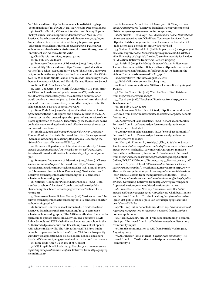*ble."* Retrieved from [http://achievementschooldistrict.org/wp](http://achievementschooldistrict.org/wp-content/uploads/2015/07/ASD-3rd-Year-Results-Presentation.pdf) [-content/uploads/2015/07/ASD-3rd-Year-Results-Presentation.pdf](http://achievementschooldistrict.org/wp-content/uploads/2015/07/ASD-3rd-Year-Results-Presentation.pdf)

36. See Chris Barbic, ASD superintendent, and Dorsey Hopson, Shelby County Schools superintendent interview, May 29, 2015. Retrieved from [http://video.memphisdailynews.com/2015/06/01](http://video.memphisdailynews.com/2015/06/01/superintendents-chris-barbic-and-dorsey-hopson-compare-education-notes/) [/superintendents-chris-barbic-and-dorsey-hopson-compare](http://video.memphisdailynews.com/2015/06/01/superintendents-chris-barbic-and-dorsey-hopson-compare-education-notes/) [-education-notes/;](http://video.memphisdailynews.com/2015/06/01/superintendents-chris-barbic-and-dorsey-hopson-compare-education-notes/) [http://tn.chalkbeat.org/2015/04/21/charter](http://tn.chalkbeat.org/2015/04/21/charter-schools-scramble-for-students-in-memphis-as-options-grow-and-enrollment-dwindles/#.VgX0istVhBe) [-schools-scramble-for-students-in-memphis-as-options-grow-and](http://tn.chalkbeat.org/2015/04/21/charter-schools-scramble-for-students-in-memphis-as-options-grow-and-enrollment-dwindles/#.VgX0istVhBe) [-enrollment-dwindles/#.VdzFNflVhBd](http://tn.chalkbeat.org/2015/04/21/charter-schools-scramble-for-students-in-memphis-as-options-grow-and-enrollment-dwindles/#.VgX0istVhBe)

37. Chris Barbic interview, August 14, 2015

38. Tn. Pub. Ch. 390 (2015)

39. Tennessee Department of Education. (2015). "2015 school accountability." Retrieved from [https://www.tn.gov/education](https://www.tn.gov/education/article/2015-school-accountability) [/article/2015-school-accountability](https://www.tn.gov/education/article/2015-school-accountability); Four of the Shelby County Priority schools on the 2014 Priority school list moved into the ASD for 2015–16: Wooddale Middle School, Brookmeade Elementary School, Denver Elementary School, and Florida-Kansas Elementary School.

40. Tenn. Code Ann. § 49-1-614(k).

41. Tenn. Code Ann. § 49-1-614(k)(1). Under the RTTT plan, after an ASD school made annual yearly progress (AYP) goals under NCLB for two consecutive years, the education commissioner would develop a transition plan to be implemented after the school made AYP for three consecutive years and be completed after the school made AYP for five consecutive years.

42. Tenn. Code Ann. § 49-1-614(k) provides that when a charter agreement with the ASD expires and a school returns to the LEA, the charter may be renewed upon the operator's submission of a renewal application to the LEA. Theoretically, the local school board could deny a renewal application and effectively close the charter and restart it on its own.

43. Smith, N. (2013). *Redefining the school district in Tennessee*. Thomas Fordham Institute. Retrieved from [http://edex.s3-us-west](http://edex.s3-us-west-2.amazonaws.com/publication/pdfs/20130423-Redefining-the-School-District-in-Tennessee-FINAL_7.pdf) [-2.amazonaws.com/publication/pdfs/20130423-Redefining-the](http://edex.s3-us-west-2.amazonaws.com/publication/pdfs/20130423-Redefining-the-School-District-in-Tennessee-FINAL_7.pdf) [-School-District-in-Tennessee-FINAL\\_7.pdf](http://edex.s3-us-west-2.amazonaws.com/publication/pdfs/20130423-Redefining-the-School-District-in-Tennessee-FINAL_7.pdf)

44. Tennessee Department of Education. (2015, March). *"Charter schools 2015 annual report."* Retrieved from [https://www.tn.gov](https://www.tn.gov/assets/entities/education/attachments/chtr_sch_annual_report.pdf) [/assets/entities/education/attachments/chtr\\_sch\\_annual\\_report](https://www.tn.gov/assets/entities/education/attachments/chtr_sch_annual_report.pdf) [.pdf](https://www.tn.gov/assets/entities/education/attachments/chtr_sch_annual_report.pdf)

45. Tennessee Department of Education. (2015, March). *"Charter schools 2015 annual report."* Retrieved from [https://www.tn.gov](https://www.tn.gov/assets/entities/education/attachments/chtr_sch_annual_report.pdf) [/assets/entities/education/attachments/chtr\\_sch\\_annual\\_report](https://www.tn.gov/assets/entities/education/attachments/chtr_sch_annual_report.pdf) [.pdf](https://www.tn.gov/assets/entities/education/attachments/chtr_sch_annual_report.pdf); Tennessee Charter School Center. (2015). "Inside charters." Retrieved from [http://tnchartercenter.org/2015-16-tennessee](http://tnchartercenter.org/2015-16-tennessee-charter-schools-infographic/) [-charter-schools-infographic/](http://tnchartercenter.org/2015-16-tennessee-charter-schools-infographic/);

46. National Alliance for Public Charter Schools. (n.d.). "Total number of schools." Retrieved from [http://dashboard.public](http://dashboard.publiccharters.org/dashboard/schools/page/overview/district/TN-2/year/2011) [charters.org/dashboard/schools/page/overview/district/TN-2](http://dashboard.publiccharters.org/dashboard/schools/page/overview/district/TN-2/year/2011) [/year/2011](http://dashboard.publiccharters.org/dashboard/schools/page/overview/district/TN-2/year/2011)

47. Tennessee Charter School Center. (n.d.). "Inside charters." Retrieved from [http://tnchartercenter.org/2015-16-tennessee-charter](http://tnchartercenter.org/2015-16-tennessee-charter-schools-infographic/) [-schools-infographic/](http://tnchartercenter.org/2015-16-tennessee-charter-schools-infographic/)

48. Tennessee Charter School Center. (n.d.). "Inside charters." Retrieved from [http://tnchartercenter.org/2015-16-tennessee](http://tnchartercenter.org/2015-16-tennessee-charter-schools-infographic/) [-charter-schools-infographic/](http://tnchartercenter.org/2015-16-tennessee-charter-schools-infographic/). The ASD has authorized four charter operators to operate schools in Nashville. Two operators, LEAD Public Schools and KIPP Nashville, each operate one school in the ASD; Knowledge Academies and Rocketship have not yet opened ASD schools in Nashville. The ASD authorized YES Prep Public Schools to operate schools in the ASD, but YES Prep subsequently withdrew its application. See discussions in "Schools and operators" and "Community engagement and participation" discussions.

49. Tenn. Code Ann. § 49-13-106(a)(3)(A) (2015).

50. YES Prep Public Schools. (2015, March 25). *An announcement regarding our operations in Memphis.* Retrieved from [http://yesprep](http://yesprepmemphis.com/) [memphis.com/](http://yesprepmemphis.com/)

51. Achievement School District. (2014, Jan. 16). *"New year, new authorization process."* Retrieved from [http://achievementschool](http://achievementschooldistrict.org/new-year-new-authorization-process/) [district.org/new-year-new-authorization-process/](http://achievementschooldistrict.org/new-year-new-authorization-process/)

52. Zubrzycki, J. (2014, April 24). "*Achievement School District adds alternative schools to mix."* Chalkbeat Tennessee. Retrieved from [http://tn.chalkbeat.org/2014/04/24/achievement-school-district](http://tn.chalkbeat.org/2014/04/24/achievement-school-district-adds-alternative-schools-to-mix/#.VgX3VctVhBe) [-adds-alternative-schools-to-mix/#.VdFBvvlVhBd](http://tn.chalkbeat.org/2014/04/24/achievement-school-district-adds-alternative-schools-to-mix/#.VgX3VctVhBe)

53. Steiner, L., & Hassel, E. A. (Public Impact). (2011). *Using competencies to improve school turnaround principal success*. Charlottesville: University of Virginia's Darden/Curry Partnership for Leaders in Education. Retrieved from [www.DardenCurry.org](http://www.DardenCurry.org) 

54. Smith, N. (2013). *Redefining the school district in Tennessee*. Thomas Fordham Institute. Retrieved from [http://edex.s3-us-west](http://edex.s3-us-west-2.amazonaws.com/publication/pdfs/20130423-Redefining-the-School-District-in-Tennessee-FINAL_7.pdf) [-2.amazonaws.com/publication/pdfs/20130423-Redefining-the](http://edex.s3-us-west-2.amazonaws.com/publication/pdfs/20130423-Redefining-the-School-District-in-Tennessee-FINAL_7.pdf) [-School-District-in-Tennessee-FINAL\\_7.pdf](http://edex.s3-us-west-2.amazonaws.com/publication/pdfs/20130423-Redefining-the-School-District-in-Tennessee-FINAL_7.pdf)

55. Lesley Brown interview, August 26, 2015. 56. Bobby White interview, March 23, 2015.

57. Email communication to ASD from Thomas Beazley, August 25, 2015.

58. Teacher Town USA. (n.d.). "Teacher Town USA." Retrieved from <http://teachertownusa.org/>

59. Teach 901. (n.d.). "Teach 901." Retrieved from [http://www](http://www.teach901.com/) [.teach901.com/](http://www.teach901.com/)

60. Tn. Pub. Ch. 507 (2015)

61. Achievement School District. (n.d.). "Application evaluation." Retrieved from [http://achievementschooldistrict.org/new-schools](http://achievementschooldistrict.org/new-schools/evaluation/) [/evaluation/](http://achievementschooldistrict.org/new-schools/evaluation/)

62. Achievement School District. (n.d.). "School accountability." Retrieved from [http://www.asdperformanceandpractice.com](http://www.asdperformanceandpractice.com/spf-interactive-tool.html) [/spf-interactive-tool.html](http://www.asdperformanceandpractice.com/spf-interactive-tool.html)

63. Achievement School District. (n.d.). "School accountability." Retrieved from [http://www.asdperformanceandpractice.com](http://www.asdperformanceandpractice.com/spf-interactive-tool.html) [/spf-interactive-tool.html](http://www.asdperformanceandpractice.com/spf-interactive-tool.html)

64. Henry, G., Zimmer, R., Attridge, J., Kho, A., & Viano, S. (2014). *Teacher and student migration in and out of Tennessee's Achievement School District*. Nashville, TN: Vanderbilt University, Tennesee Consortium on Research, Evaluation & Development. Retrieved from [http://www.tnconsortium.org/data/files/gallery/Content](http://www.tnconsortium.org/data/files/gallery/ContentGallery/TCREDASDReport_Zimmer_020915_Revised_022715.pdf) [Gallery/TCREDASDReport\\_Zimmer\\_020915\\_Revised\\_022715.pdf](http://www.tnconsortium.org/data/files/gallery/ContentGallery/TCREDASDReport_Zimmer_020915_Revised_022715.pdf)

65. Carr, S. (2013, Oct. 29). *"When outsiders take over schools: Lessons from Memphis."* The Atlantic. Retrieved from [http://www](http://www.theatlantic.com/education/archive/2013/10/when-outsiders-take-over-schools-lessons-from-memphis/280919/) [.theatlantic.com/education/archive/2013/10/when-outsiders-take](http://www.theatlantic.com/education/archive/2013/10/when-outsiders-take-over-schools-lessons-from-memphis/280919/) [-over-schools-lessons-from-memphis/280919/](http://www.theatlantic.com/education/archive/2013/10/when-outsiders-take-over-schools-lessons-from-memphis/280919/); Buntin, J. (2014, Oct). *"Memphis makes the nation's most ambitious effort to fix failed schools."* Governing. Retrieved from [http://www.governing.com](http://www.governing.com/topics/education/gov-memphis-education-reform.html) [/topics/education/gov-memphis-education-reform.html](http://www.governing.com/topics/education/gov-memphis-education-reform.html)

66. Burnette, D. (2014, Nov. 20). *"Exclusive: Green Dot Public Schools pulls out of Raleigh-Egypt ASD takeover."* Chalkbeat Tennessee. Retrieved from [http://tn.chalkbeat.org/2014/11/20/exclusive](http://tn.chalkbeat.org/2014/11/20/exclusive-green-dot-public-schools-pulls-out-of-raleigh-egypt-asd-takeover/#.Ve2lcBHBzRa) [-green-dot-public-schools-pulls-out-of-raleigh-egypt-asd-take](http://tn.chalkbeat.org/2014/11/20/exclusive-green-dot-public-schools-pulls-out-of-raleigh-egypt-asd-takeover/#.Ve2lcBHBzRa) [over/#.Ve2lcBHBzRa](http://tn.chalkbeat.org/2014/11/20/exclusive-green-dot-public-schools-pulls-out-of-raleigh-egypt-asd-takeover/#.Ve2lcBHBzRa)

67. YES Prep Public Schools. (2015, March 25). *An announcement regarding our operations in Memphis.* Retrieved from [http://yes](http://yesprepmemphis.com/) [prepmemphis.com/](http://yesprepmemphis.com/)

68. Hardin, A. (2015, July 10). "From school matching to community input." Retrieved from [http://achievementschooldistrict.org](http://achievementschooldistrict.org/community-input/) [/community-input/](http://achievementschooldistrict.org/community-input/)

69. Email communication to ASD from Patrick Washington, August 25, 2015

70. ASD Insider. (2014, March). *"Engaging the community."* Retrieved from [http://asdinsider.com/bestpractice/engaging](http://asdinsider.com/bestpractice/engaging-community-0) [-community-0](http://asdinsider.com/bestpractice/engaging-community-0)